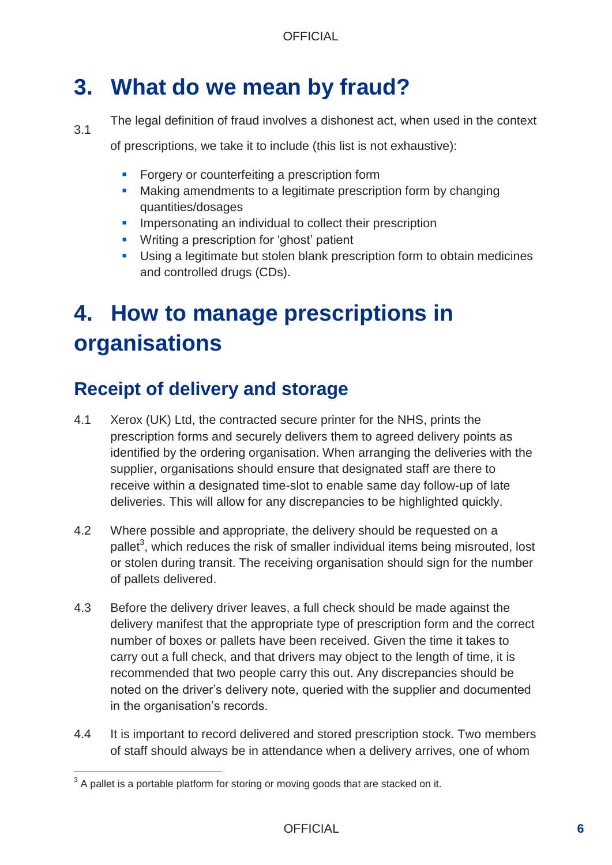# **3. What do we mean by fraud?**

3.1 The legal definition of fraud involves a dishonest act, when used in the context

of prescriptions, we take it to include (this list is not exhaustive):

- **Forgery or counterfeiting a prescription form**
- **Making amendments to a legitimate prescription form by changing** quantities/dosages
- **IMPERS** Impersonating an individual to collect their prescription
- **Writing a prescription for 'ghost' patient**
- Using a legitimate but stolen blank prescription form to obtain medicines and controlled drugs (CDs).

# **4. How to manage prescriptions in organisations**

## **Receipt of delivery and storage**

- 4.1 Xerox (UK) Ltd, the contracted secure printer for the NHS, prints the prescription forms and securely delivers them to agreed delivery points as identified by the ordering organisation. When arranging the deliveries with the supplier, organisations should ensure that designated staff are there to receive within a designated time-slot to enable same day follow-up of late deliveries. This will allow for any discrepancies to be highlighted quickly.
- 4.2 Where possible and appropriate, the delivery should be requested on a pallet<sup>3</sup>, which reduces the risk of smaller individual items being misrouted, lost or stolen during transit. The receiving organisation should sign for the number of pallets delivered.
- 4.3 Before the delivery driver leaves, a full check should be made against the delivery manifest that the appropriate type of prescription form and the correct number of boxes or pallets have been received. Given the time it takes to carry out a full check, and that drivers may object to the length of time, it is recommended that two people carry this out. Any discrepancies should be noted on the driver's delivery note, queried with the supplier and documented in the organisation's records.
- 4.4 It is important to record delivered and stored prescription stock. Two members of staff should always be in attendance when a delivery arrives, one of whom

 $3$  A pallet is a portable platform for storing or moving goods that are stacked on it.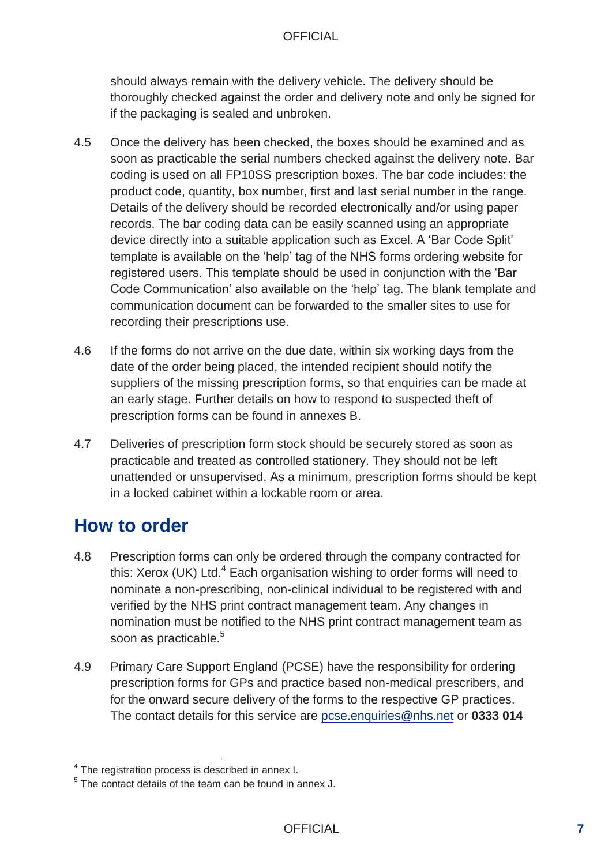should always remain with the delivery vehicle. The delivery should be thoroughly checked against the order and delivery note and only be signed for if the packaging is sealed and unbroken.

- 4.5 Once the delivery has been checked, the boxes should be examined and as soon as practicable the serial numbers checked against the delivery note. Bar coding is used on all FP10SS prescription boxes. The bar code includes: the product code, quantity, box number, first and last serial number in the range. Details of the delivery should be recorded electronically and/or using paper records. The bar coding data can be easily scanned using an appropriate device directly into a suitable application such as Excel. A 'Bar Code Split' template is available on the 'help' tag of the NHS forms ordering website for registered users. This template should be used in conjunction with the 'Bar Code Communication' also available on the 'help' tag. The blank template and communication document can be forwarded to the smaller sites to use for recording their prescriptions use.
- 4.6 If the forms do not arrive on the due date, within six working days from the date of the order being placed, the intended recipient should notify the suppliers of the missing prescription forms, so that enquiries can be made at an early stage. Further details on how to respond to suspected theft of prescription forms can be found in annexes B.
- 4.7 Deliveries of prescription form stock should be securely stored as soon as practicable and treated as controlled stationery. They should not be left unattended or unsupervised. As a minimum, prescription forms should be kept in a locked cabinet within a lockable room or area.

#### **How to order**

- 4.8 Prescription forms can only be ordered through the company contracted for this: Xerox (UK) Ltd. $4$  Each organisation wishing to order forms will need to nominate a non-prescribing, non-clinical individual to be registered with and verified by the NHS print contract management team. Any changes in nomination must be notified to the NHS print contract management team as soon as practicable.<sup>5</sup>
- 4.9 Primary Care Support England (PCSE) have the responsibility for ordering prescription forms for GPs and practice based non-medical prescribers, and for the onward secure delivery of the forms to the respective GP practices. The contact details for this service are [pcse.enquiries@nhs.net](mailto:pcse.enquiries@nhs.net) or **0333 014**

<sup>&</sup>lt;sup>4</sup> The registration process is described in annex I.

 $5$  The contact details of the team can be found in annex J.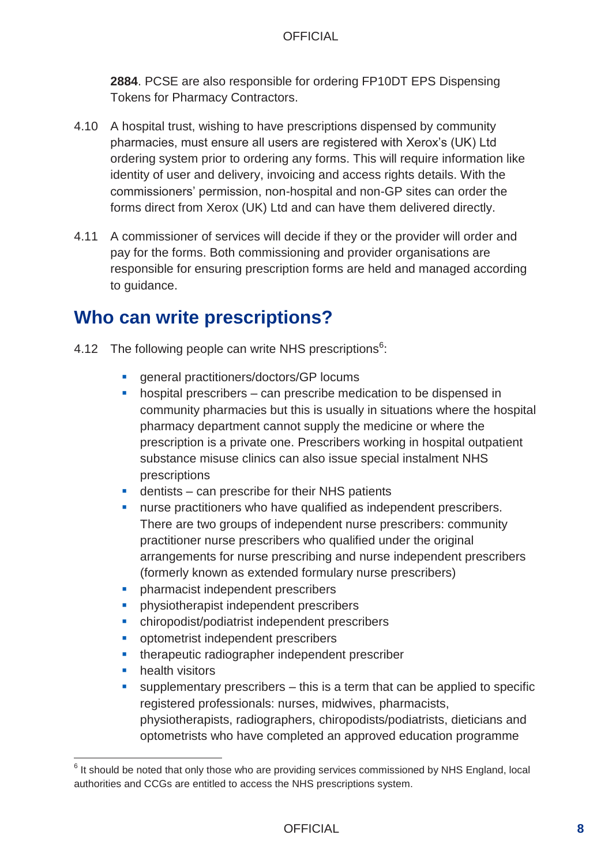**2884**. PCSE are also responsible for ordering FP10DT EPS Dispensing Tokens for Pharmacy Contractors.

- 4.10 A hospital trust, wishing to have prescriptions dispensed by community pharmacies, must ensure all users are registered with Xerox's (UK) Ltd ordering system prior to ordering any forms. This will require information like identity of user and delivery, invoicing and access rights details. With the commissioners' permission, non-hospital and non-GP sites can order the forms direct from Xerox (UK) Ltd and can have them delivered directly.
- 4.11 A commissioner of services will decide if they or the provider will order and pay for the forms. Both commissioning and provider organisations are responsible for ensuring prescription forms are held and managed according to guidance.

#### **Who can write prescriptions?**

- 4.12 The following people can write NHS prescriptions<sup>6</sup>:
	- **e** general practitioners/doctors/GP locums
	- **•** hospital prescribers can prescribe medication to be dispensed in community pharmacies but this is usually in situations where the hospital pharmacy department cannot supply the medicine or where the prescription is a private one. Prescribers working in hospital outpatient substance misuse clinics can also issue special instalment NHS prescriptions
	- dentists can prescribe for their NHS patients
	- **nurse practitioners who have qualified as independent prescribers.** There are two groups of independent nurse prescribers: community practitioner nurse prescribers who qualified under the original arrangements for nurse prescribing and nurse independent prescribers (formerly known as extended formulary nurse prescribers)
	- **•** pharmacist independent prescribers
	- physiotherapist independent prescribers
	- chiropodist/podiatrist independent prescribers
	- **•** optometrist independent prescribers
	- **•** therapeutic radiographer independent prescriber
	- **health visitors**
	- supplementary prescribers this is a term that can be applied to specific registered professionals: nurses, midwives, pharmacists, physiotherapists, radiographers, chiropodists/podiatrists, dieticians and optometrists who have completed an approved education programme

 $6$  It should be noted that only those who are providing services commissioned by NHS England, local authorities and CCGs are entitled to access the NHS prescriptions system.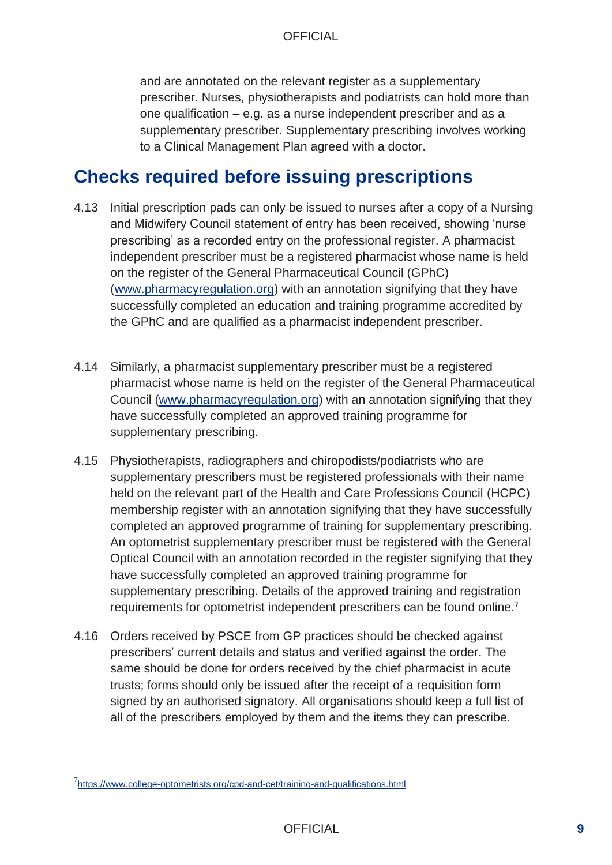and are annotated on the relevant register as a supplementary prescriber. Nurses, physiotherapists and podiatrists can hold more than one qualification – e.g. as a nurse independent prescriber and as a supplementary prescriber. Supplementary prescribing involves working to a Clinical Management Plan agreed with a doctor.

#### **Checks required before issuing prescriptions**

- 4.13 Initial prescription pads can only be issued to nurses after a copy of a Nursing and Midwifery Council statement of entry has been received, showing 'nurse prescribing' as a recorded entry on the professional register. A pharmacist independent prescriber must be a registered pharmacist whose name is held on the register of the General Pharmaceutical Council (GPhC) [\(www.pharmacyregulation.org\)](http://www.pharmacyregulation.org/) with an annotation signifying that they have successfully completed an education and training programme accredited by the GPhC and are qualified as a pharmacist independent prescriber.
- 4.14 Similarly, a pharmacist supplementary prescriber must be a registered pharmacist whose name is held on the register of the General Pharmaceutical Council [\(www.pharmacyregulation.org\)](http://www.pharmacyregulation.org/) with an annotation signifying that they have successfully completed an approved training programme for supplementary prescribing.
- 4.15 Physiotherapists, radiographers and chiropodists/podiatrists who are supplementary prescribers must be registered professionals with their name held on the relevant part of the Health and Care Professions Council (HCPC) membership register with an annotation signifying that they have successfully completed an approved programme of training for supplementary prescribing. An optometrist supplementary prescriber must be registered with the General Optical Council with an annotation recorded in the register signifying that they have successfully completed an approved training programme for supplementary prescribing. Details of the approved training and registration requirements for optometrist independent prescribers can be found online.<sup>7</sup>
- 4.16 Orders received by PSCE from GP practices should be checked against prescribers' current details and status and verified against the order. The same should be done for orders received by the chief pharmacist in acute trusts; forms should only be issued after the receipt of a requisition form signed by an authorised signatory. All organisations should keep a full list of all of the prescribers employed by them and the items they can prescribe.

<sup>&</sup>lt;sup>7</sup><https://www.college-optometrists.org/cpd-and-cet/training-and-qualifications.html>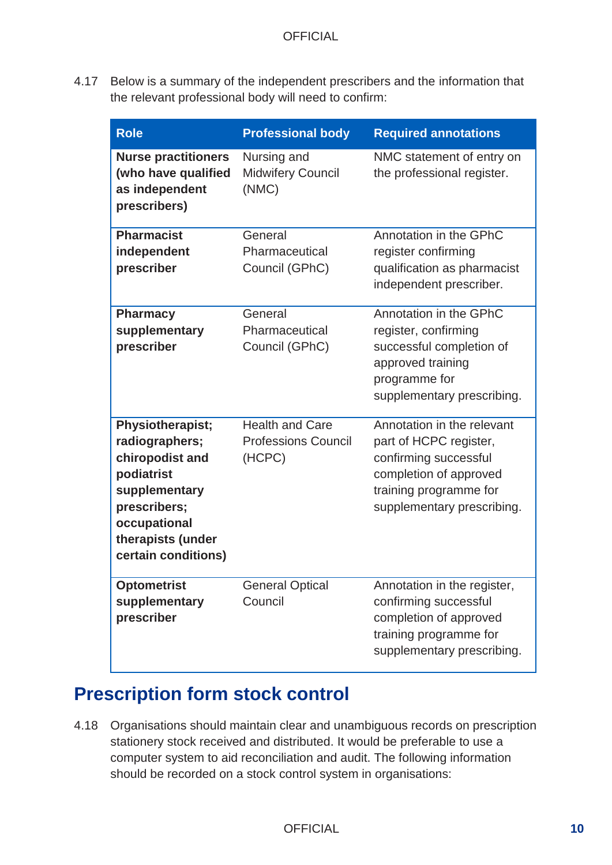4.17 Below is a summary of the independent prescribers and the information that the relevant professional body will need to confirm:

| <b>Role</b>                                                                                                                                                             | <b>Professional body</b>                                       | <b>Required annotations</b>                                                                                                                                     |
|-------------------------------------------------------------------------------------------------------------------------------------------------------------------------|----------------------------------------------------------------|-----------------------------------------------------------------------------------------------------------------------------------------------------------------|
| <b>Nurse practitioners</b><br>(who have qualified<br>as independent<br>prescribers)                                                                                     | Nursing and<br><b>Midwifery Council</b><br>(NMC)               | NMC statement of entry on<br>the professional register.                                                                                                         |
| <b>Pharmacist</b><br>independent<br>prescriber                                                                                                                          | General<br>Pharmaceutical<br>Council (GPhC)                    | Annotation in the GPhC<br>register confirming<br>qualification as pharmacist<br>independent prescriber.                                                         |
| <b>Pharmacy</b><br>supplementary<br>prescriber                                                                                                                          | General<br>Pharmaceutical<br>Council (GPhC)                    | Annotation in the GPhC<br>register, confirming<br>successful completion of<br>approved training<br>programme for<br>supplementary prescribing.                  |
| <b>Physiotherapist;</b><br>radiographers;<br>chiropodist and<br>podiatrist<br>supplementary<br>prescribers;<br>occupational<br>therapists (under<br>certain conditions) | <b>Health and Care</b><br><b>Professions Council</b><br>(HCPC) | Annotation in the relevant<br>part of HCPC register,<br>confirming successful<br>completion of approved<br>training programme for<br>supplementary prescribing. |
| <b>Optometrist</b><br>supplementary<br>prescriber                                                                                                                       | <b>General Optical</b><br>Council                              | Annotation in the register,<br>confirming successful<br>completion of approved<br>training programme for<br>supplementary prescribing.                          |

## **Prescription form stock control**

4.18 Organisations should maintain clear and unambiguous records on prescription stationery stock received and distributed. It would be preferable to use a computer system to aid reconciliation and audit. The following information should be recorded on a stock control system in organisations: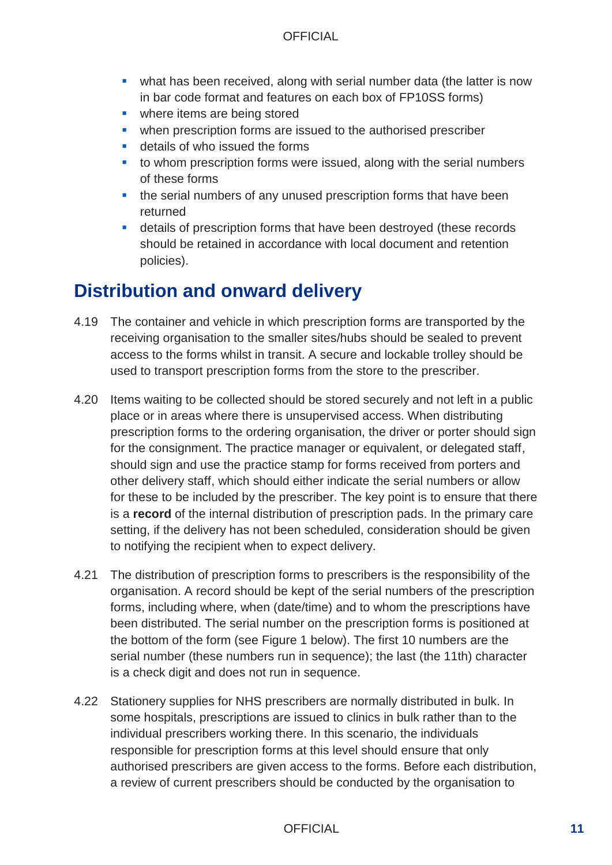- what has been received, along with serial number data (the latter is now in bar code format and features on each box of FP10SS forms)
- **Where items are being stored**
- **•** when prescription forms are issued to the authorised prescriber
- **details of who issued the forms**
- to whom prescription forms were issued, along with the serial numbers of these forms
- the serial numbers of any unused prescription forms that have been returned
- details of prescription forms that have been destroyed (these records should be retained in accordance with local document and retention policies).

## **Distribution and onward delivery**

- 4.19 The container and vehicle in which prescription forms are transported by the receiving organisation to the smaller sites/hubs should be sealed to prevent access to the forms whilst in transit. A secure and lockable trolley should be used to transport prescription forms from the store to the prescriber.
- 4.20 Items waiting to be collected should be stored securely and not left in a public place or in areas where there is unsupervised access. When distributing prescription forms to the ordering organisation, the driver or porter should sign for the consignment. The practice manager or equivalent, or delegated staff, should sign and use the practice stamp for forms received from porters and other delivery staff, which should either indicate the serial numbers or allow for these to be included by the prescriber. The key point is to ensure that there is a **record** of the internal distribution of prescription pads. In the primary care setting, if the delivery has not been scheduled, consideration should be given to notifying the recipient when to expect delivery.
- 4.21 The distribution of prescription forms to prescribers is the responsibility of the organisation. A record should be kept of the serial numbers of the prescription forms, including where, when (date/time) and to whom the prescriptions have been distributed. The serial number on the prescription forms is positioned at the bottom of the form (see Figure 1 below). The first 10 numbers are the serial number (these numbers run in sequence); the last (the 11th) character is a check digit and does not run in sequence.
- 4.22 Stationery supplies for NHS prescribers are normally distributed in bulk. In some hospitals, prescriptions are issued to clinics in bulk rather than to the individual prescribers working there. In this scenario, the individuals responsible for prescription forms at this level should ensure that only authorised prescribers are given access to the forms. Before each distribution, a review of current prescribers should be conducted by the organisation to

#### OFFICIAL **11**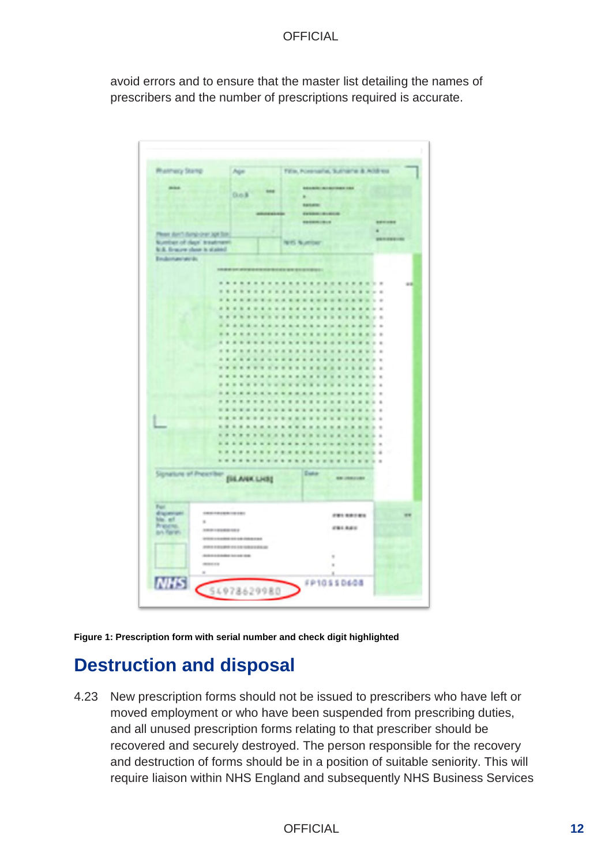avoid errors and to ensure that the master list detailing the names of prescribers and the number of prescriptions required is accurate.



**Figure 1: Prescription form with serial number and check digit highlighted** 

## **Destruction and disposal**

4.23 New prescription forms should not be issued to prescribers who have left or moved employment or who have been suspended from prescribing duties, and all unused prescription forms relating to that prescriber should be recovered and securely destroyed. The person responsible for the recovery and destruction of forms should be in a position of suitable seniority. This will require liaison within NHS England and subsequently NHS Business Services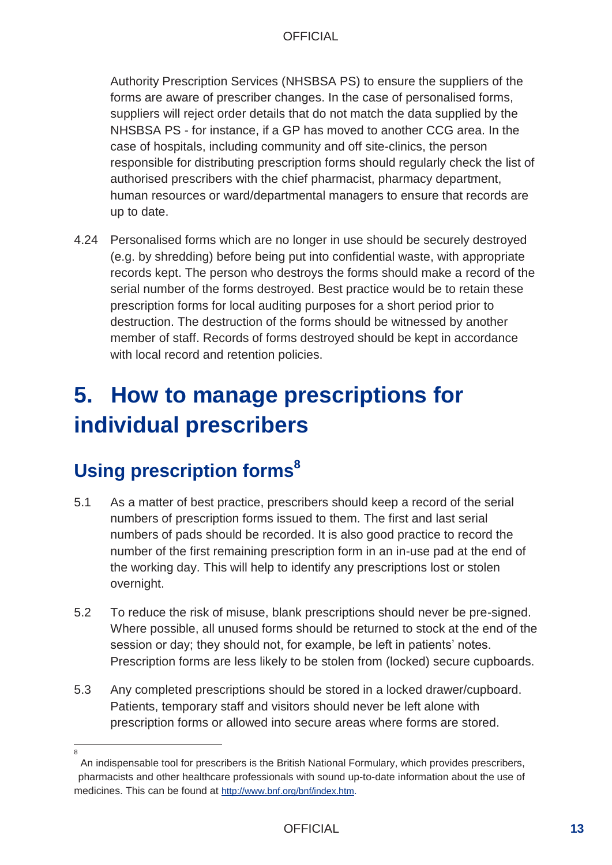Authority Prescription Services (NHSBSA PS) to ensure the suppliers of the forms are aware of prescriber changes. In the case of personalised forms, suppliers will reject order details that do not match the data supplied by the NHSBSA PS - for instance, if a GP has moved to another CCG area. In the case of hospitals, including community and off site-clinics, the person responsible for distributing prescription forms should regularly check the list of authorised prescribers with the chief pharmacist, pharmacy department, human resources or ward/departmental managers to ensure that records are up to date.

4.24 Personalised forms which are no longer in use should be securely destroyed (e.g. by shredding) before being put into confidential waste, with appropriate records kept. The person who destroys the forms should make a record of the serial number of the forms destroyed. Best practice would be to retain these prescription forms for local auditing purposes for a short period prior to destruction. The destruction of the forms should be witnessed by another member of staff. Records of forms destroyed should be kept in accordance with local record and retention policies.

# **5. How to manage prescriptions for individual prescribers**

# **Using prescription forms<sup>8</sup>**

- 5.1 As a matter of best practice, prescribers should keep a record of the serial numbers of prescription forms issued to them. The first and last serial numbers of pads should be recorded. It is also good practice to record the number of the first remaining prescription form in an in-use pad at the end of the working day. This will help to identify any prescriptions lost or stolen overnight.
- 5.2 To reduce the risk of misuse, blank prescriptions should never be pre-signed. Where possible, all unused forms should be returned to stock at the end of the session or day; they should not, for example, be left in patients' notes. Prescription forms are less likely to be stolen from (locked) secure cupboards.
- 5.3 Any completed prescriptions should be stored in a locked drawer/cupboard. Patients, temporary staff and visitors should never be left alone with prescription forms or allowed into secure areas where forms are stored.
- $\Omega$

An indispensable tool for prescribers is the British National Formulary, which provides prescribers, pharmacists and other healthcare professionals with sound up-to-date information about the use of medicines. This can be found at <http://www.bnf.org/bnf/index.htm>.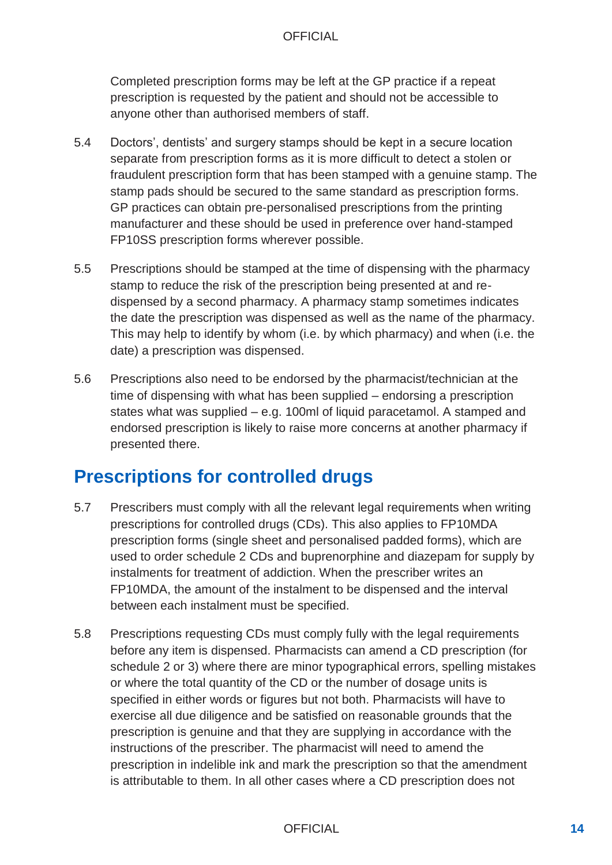Completed prescription forms may be left at the GP practice if a repeat prescription is requested by the patient and should not be accessible to anyone other than authorised members of staff.

- 5.4 Doctors', dentists' and surgery stamps should be kept in a secure location separate from prescription forms as it is more difficult to detect a stolen or fraudulent prescription form that has been stamped with a genuine stamp. The stamp pads should be secured to the same standard as prescription forms. GP practices can obtain pre-personalised prescriptions from the printing manufacturer and these should be used in preference over hand-stamped FP10SS prescription forms wherever possible.
- 5.5 Prescriptions should be stamped at the time of dispensing with the pharmacy stamp to reduce the risk of the prescription being presented at and redispensed by a second pharmacy. A pharmacy stamp sometimes indicates the date the prescription was dispensed as well as the name of the pharmacy. This may help to identify by whom (i.e. by which pharmacy) and when (i.e. the date) a prescription was dispensed.
- 5.6 Prescriptions also need to be endorsed by the pharmacist/technician at the time of dispensing with what has been supplied – endorsing a prescription states what was supplied – e.g. 100ml of liquid paracetamol. A stamped and endorsed prescription is likely to raise more concerns at another pharmacy if presented there.

## **Prescriptions for controlled drugs**

- 5.7 Prescribers must comply with all the relevant legal requirements when writing prescriptions for controlled drugs (CDs). This also applies to FP10MDA prescription forms (single sheet and personalised padded forms), which are used to order schedule 2 CDs and buprenorphine and diazepam for supply by instalments for treatment of addiction. When the prescriber writes an FP10MDA, the amount of the instalment to be dispensed and the interval between each instalment must be specified.
- 5.8 Prescriptions requesting CDs must comply fully with the legal requirements before any item is dispensed. Pharmacists can amend a CD prescription (for schedule 2 or 3) where there are minor typographical errors, spelling mistakes or where the total quantity of the CD or the number of dosage units is specified in either words or figures but not both. Pharmacists will have to exercise all due diligence and be satisfied on reasonable grounds that the prescription is genuine and that they are supplying in accordance with the instructions of the prescriber. The pharmacist will need to amend the prescription in indelible ink and mark the prescription so that the amendment is attributable to them. In all other cases where a CD prescription does not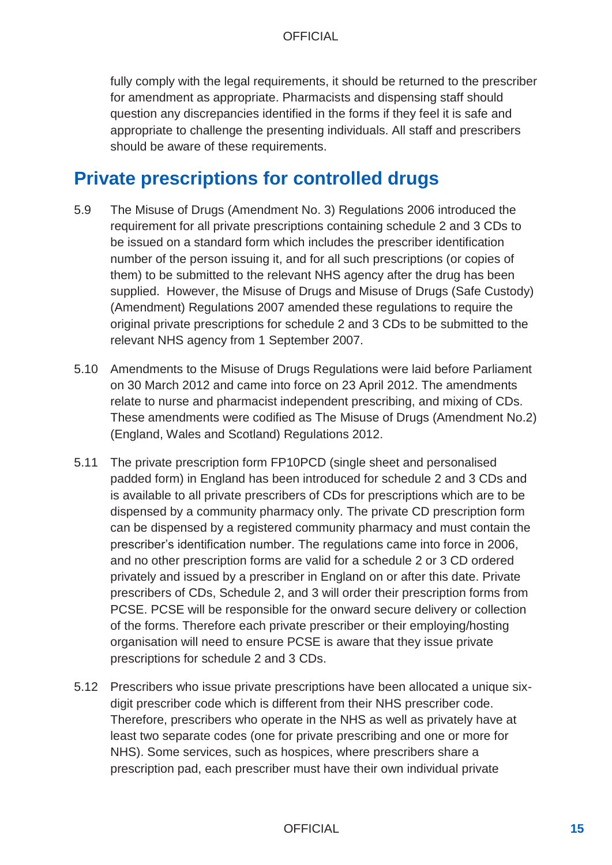fully comply with the legal requirements, it should be returned to the prescriber for amendment as appropriate. Pharmacists and dispensing staff should question any discrepancies identified in the forms if they feel it is safe and appropriate to challenge the presenting individuals. All staff and prescribers should be aware of these requirements.

#### **Private prescriptions for controlled drugs**

- 5.9 The Misuse of Drugs (Amendment No. 3) Regulations 2006 introduced the requirement for all private prescriptions containing schedule 2 and 3 CDs to be issued on a standard form which includes the prescriber identification number of the person issuing it, and for all such prescriptions (or copies of them) to be submitted to the relevant NHS agency after the drug has been supplied. However, the Misuse of Drugs and Misuse of Drugs (Safe Custody) (Amendment) Regulations 2007 amended these regulations to require the original private prescriptions for schedule 2 and 3 CDs to be submitted to the relevant NHS agency from 1 September 2007.
- 5.10 Amendments to the Misuse of Drugs Regulations were laid before Parliament on 30 March 2012 and came into force on 23 April 2012. The amendments relate to nurse and pharmacist independent prescribing, and mixing of CDs. These amendments were codified as The Misuse of Drugs (Amendment No.2) (England, Wales and Scotland) Regulations 2012.
- 5.11 The private prescription form FP10PCD (single sheet and personalised padded form) in England has been introduced for schedule 2 and 3 CDs and is available to all private prescribers of CDs for prescriptions which are to be dispensed by a community pharmacy only. The private CD prescription form can be dispensed by a registered community pharmacy and must contain the prescriber's identification number. The regulations came into force in 2006, and no other prescription forms are valid for a schedule 2 or 3 CD ordered privately and issued by a prescriber in England on or after this date. Private prescribers of CDs, Schedule 2, and 3 will order their prescription forms from PCSE. PCSE will be responsible for the onward secure delivery or collection of the forms. Therefore each private prescriber or their employing/hosting organisation will need to ensure PCSE is aware that they issue private prescriptions for schedule 2 and 3 CDs.
- 5.12 Prescribers who issue private prescriptions have been allocated a unique sixdigit prescriber code which is different from their NHS prescriber code. Therefore, prescribers who operate in the NHS as well as privately have at least two separate codes (one for private prescribing and one or more for NHS). Some services, such as hospices, where prescribers share a prescription pad, each prescriber must have their own individual private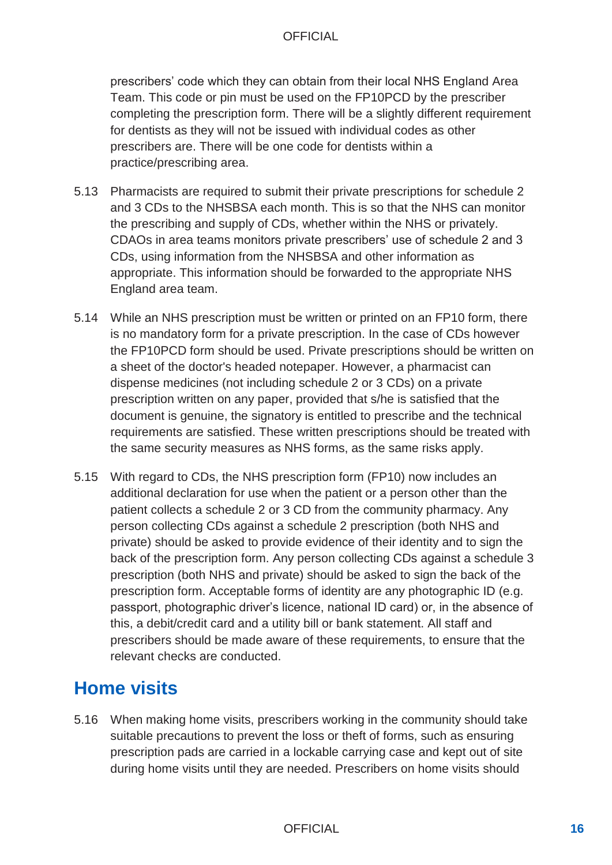prescribers' code which they can obtain from their local NHS England Area Team. This code or pin must be used on the FP10PCD by the prescriber completing the prescription form. There will be a slightly different requirement for dentists as they will not be issued with individual codes as other prescribers are. There will be one code for dentists within a practice/prescribing area.

- 5.13 Pharmacists are required to submit their private prescriptions for schedule 2 and 3 CDs to the NHSBSA each month. This is so that the NHS can monitor the prescribing and supply of CDs, whether within the NHS or privately. CDAOs in area teams monitors private prescribers' use of schedule 2 and 3 CDs, using information from the NHSBSA and other information as appropriate. This information should be forwarded to the appropriate NHS England area team.
- 5.14 While an NHS prescription must be written or printed on an FP10 form, there is no mandatory form for a private prescription. In the case of CDs however the FP10PCD form should be used. Private prescriptions should be written on a sheet of the doctor's headed notepaper. However, a pharmacist can dispense medicines (not including schedule 2 or 3 CDs) on a private prescription written on any paper, provided that s/he is satisfied that the document is genuine, the signatory is entitled to prescribe and the technical requirements are satisfied. These written prescriptions should be treated with the same security measures as NHS forms, as the same risks apply.
- 5.15 With regard to CDs, the NHS prescription form (FP10) now includes an additional declaration for use when the patient or a person other than the patient collects a schedule 2 or 3 CD from the community pharmacy. Any person collecting CDs against a schedule 2 prescription (both NHS and private) should be asked to provide evidence of their identity and to sign the back of the prescription form. Any person collecting CDs against a schedule 3 prescription (both NHS and private) should be asked to sign the back of the prescription form. Acceptable forms of identity are any photographic ID (e.g. passport, photographic driver's licence, national ID card) or, in the absence of this, a debit/credit card and a utility bill or bank statement. All staff and prescribers should be made aware of these requirements, to ensure that the relevant checks are conducted.

## **Home visits**

5.16 When making home visits, prescribers working in the community should take suitable precautions to prevent the loss or theft of forms, such as ensuring prescription pads are carried in a lockable carrying case and kept out of site during home visits until they are needed. Prescribers on home visits should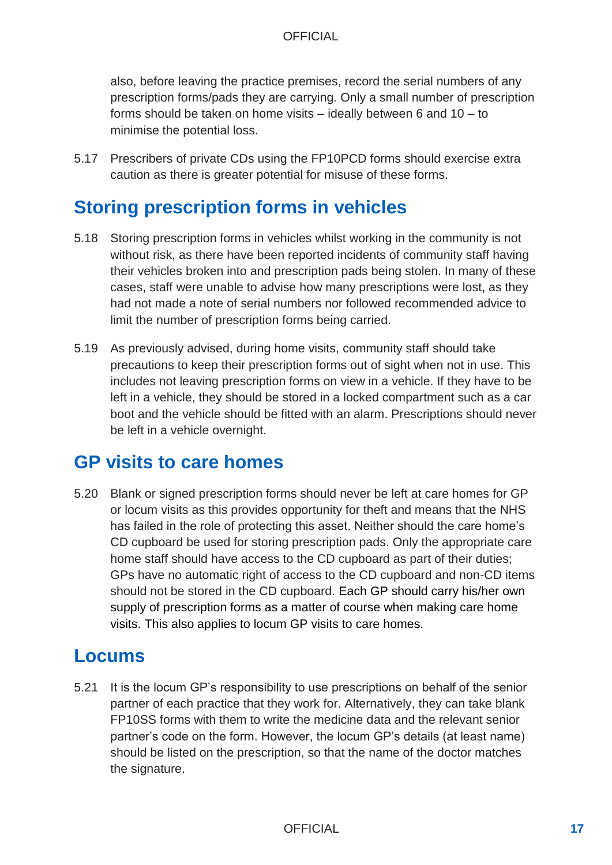also, before leaving the practice premises, record the serial numbers of any prescription forms/pads they are carrying. Only a small number of prescription forms should be taken on home visits – ideally between 6 and 10 – to minimise the potential loss.

5.17 Prescribers of private CDs using the FP10PCD forms should exercise extra caution as there is greater potential for misuse of these forms.

#### **Storing prescription forms in vehicles**

- 5.18 Storing prescription forms in vehicles whilst working in the community is not without risk, as there have been reported incidents of community staff having their vehicles broken into and prescription pads being stolen. In many of these cases, staff were unable to advise how many prescriptions were lost, as they had not made a note of serial numbers nor followed recommended advice to limit the number of prescription forms being carried.
- 5.19 As previously advised, during home visits, community staff should take precautions to keep their prescription forms out of sight when not in use. This includes not leaving prescription forms on view in a vehicle. If they have to be left in a vehicle, they should be stored in a locked compartment such as a car boot and the vehicle should be fitted with an alarm. Prescriptions should never be left in a vehicle overnight.

#### **GP visits to care homes**

5.20 Blank or signed prescription forms should never be left at care homes for GP or locum visits as this provides opportunity for theft and means that the NHS has failed in the role of protecting this asset. Neither should the care home's CD cupboard be used for storing prescription pads. Only the appropriate care home staff should have access to the CD cupboard as part of their duties; GPs have no automatic right of access to the CD cupboard and non-CD items should not be stored in the CD cupboard. Each GP should carry his/her own supply of prescription forms as a matter of course when making care home visits. This also applies to locum GP visits to care homes.

#### **Locums**

5.21 It is the locum GP's responsibility to use prescriptions on behalf of the senior partner of each practice that they work for. Alternatively, they can take blank FP10SS forms with them to write the medicine data and the relevant senior partner's code on the form. However, the locum GP's details (at least name) should be listed on the prescription, so that the name of the doctor matches the signature.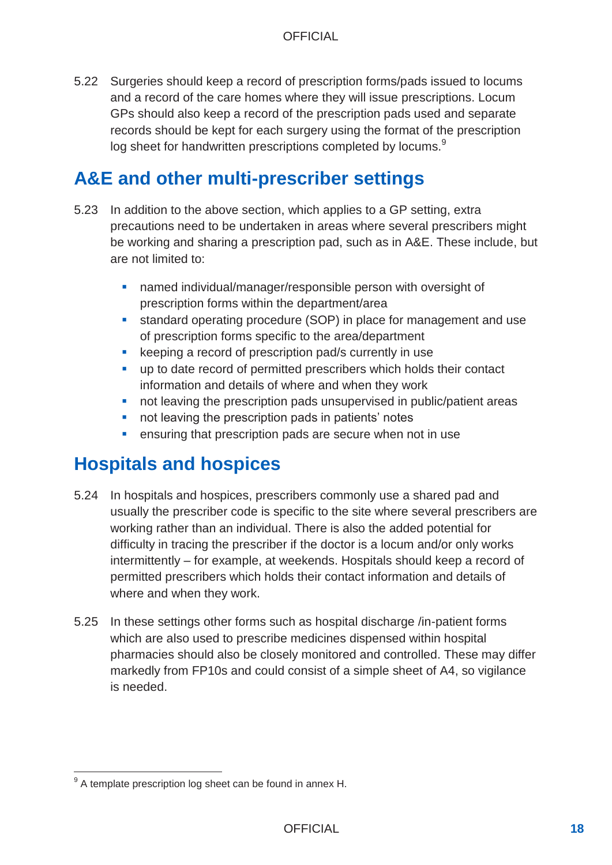5.22 Surgeries should keep a record of prescription forms/pads issued to locums and a record of the care homes where they will issue prescriptions. Locum GPs should also keep a record of the prescription pads used and separate records should be kept for each surgery using the format of the prescription log sheet for handwritten prescriptions completed by locums.<sup>9</sup>

#### **A&E and other multi-prescriber settings**

- 5.23 In addition to the above section, which applies to a GP setting, extra precautions need to be undertaken in areas where several prescribers might be working and sharing a prescription pad, such as in A&E. These include, but are not limited to:
	- **named individual/manager/responsible person with oversight of** prescription forms within the department/area
	- standard operating procedure (SOP) in place for management and use of prescription forms specific to the area/department
	- **EXECTE:** keeping a record of prescription pad/s currently in use
	- up to date record of permitted prescribers which holds their contact information and details of where and when they work
	- not leaving the prescription pads unsupervised in public/patient areas
	- not leaving the prescription pads in patients' notes
	- **EXECTE FIELD EXECT** ensuring that prescription pads are secure when not in use

## **Hospitals and hospices**

- 5.24 In hospitals and hospices, prescribers commonly use a shared pad and usually the prescriber code is specific to the site where several prescribers are working rather than an individual. There is also the added potential for difficulty in tracing the prescriber if the doctor is a locum and/or only works intermittently – for example, at weekends. Hospitals should keep a record of permitted prescribers which holds their contact information and details of where and when they work.
- 5.25 In these settings other forms such as hospital discharge /in-patient forms which are also used to prescribe medicines dispensed within hospital pharmacies should also be closely monitored and controlled. These may differ markedly from FP10s and could consist of a simple sheet of A4, so vigilance is needed.

 $9^9$  A template prescription log sheet can be found in annex H.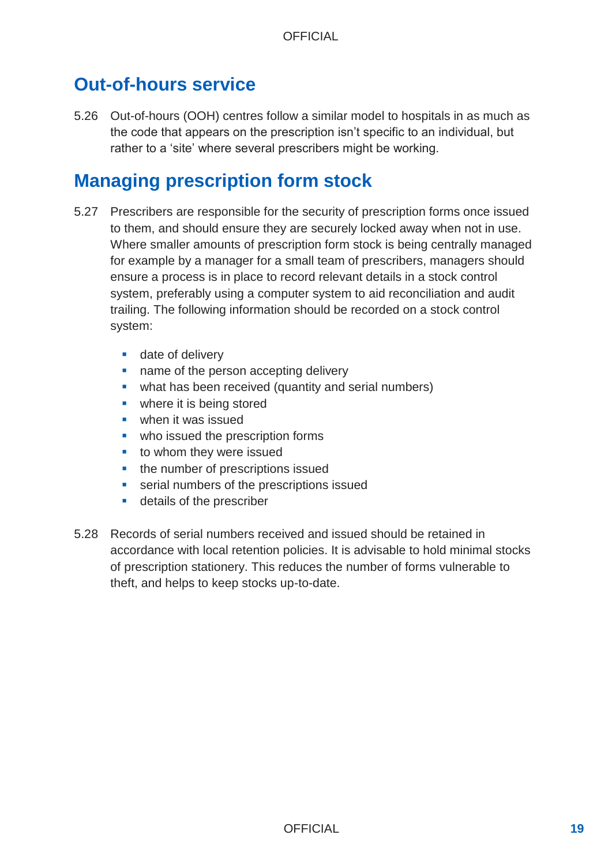## **Out-of-hours service**

5.26 Out-of-hours (OOH) centres follow a similar model to hospitals in as much as the code that appears on the prescription isn't specific to an individual, but rather to a 'site' where several prescribers might be working.

## **Managing prescription form stock**

- 5.27 Prescribers are responsible for the security of prescription forms once issued to them, and should ensure they are securely locked away when not in use. Where smaller amounts of prescription form stock is being centrally managed for example by a manager for a small team of prescribers, managers should ensure a process is in place to record relevant details in a stock control system, preferably using a computer system to aid reconciliation and audit trailing. The following information should be recorded on a stock control system:
	- **date of delivery**
	- name of the person accepting delivery
	- what has been received (quantity and serial numbers)
	- **where it is being stored**
	- **when it was issued**
	- **•** who issued the prescription forms
	- **to whom they were issued**
	- the number of prescriptions issued
	- **EXECTE:** serial numbers of the prescriptions issued
	- **details of the prescriber**
- 5.28 Records of serial numbers received and issued should be retained in accordance with local retention policies. It is advisable to hold minimal stocks of prescription stationery. This reduces the number of forms vulnerable to theft, and helps to keep stocks up-to-date.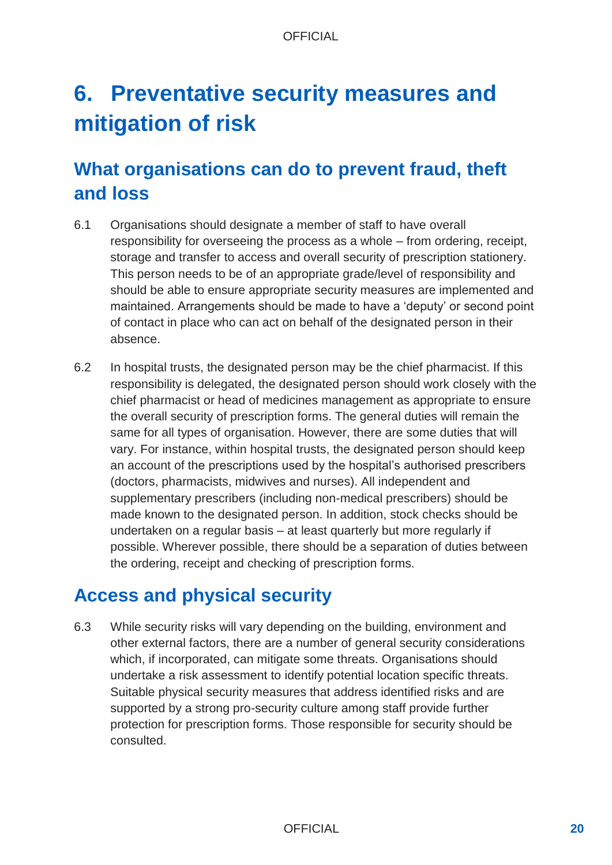# **6. Preventative security measures and mitigation of risk**

## **What organisations can do to prevent fraud, theft and loss**

- 6.1 Organisations should designate a member of staff to have overall responsibility for overseeing the process as a whole – from ordering, receipt, storage and transfer to access and overall security of prescription stationery. This person needs to be of an appropriate grade/level of responsibility and should be able to ensure appropriate security measures are implemented and maintained. Arrangements should be made to have a 'deputy' or second point of contact in place who can act on behalf of the designated person in their absence.
- 6.2 In hospital trusts, the designated person may be the chief pharmacist. If this responsibility is delegated, the designated person should work closely with the chief pharmacist or head of medicines management as appropriate to ensure the overall security of prescription forms. The general duties will remain the same for all types of organisation. However, there are some duties that will vary. For instance, within hospital trusts, the designated person should keep an account of the prescriptions used by the hospital's authorised prescribers (doctors, pharmacists, midwives and nurses). All independent and supplementary prescribers (including non-medical prescribers) should be made known to the designated person. In addition, stock checks should be undertaken on a regular basis – at least quarterly but more regularly if possible. Wherever possible, there should be a separation of duties between the ordering, receipt and checking of prescription forms.

## **Access and physical security**

6.3 While security risks will vary depending on the building, environment and other external factors, there are a number of general security considerations which, if incorporated, can mitigate some threats. Organisations should undertake a risk assessment to identify potential location specific threats. Suitable physical security measures that address identified risks and are supported by a strong pro-security culture among staff provide further protection for prescription forms. Those responsible for security should be consulted.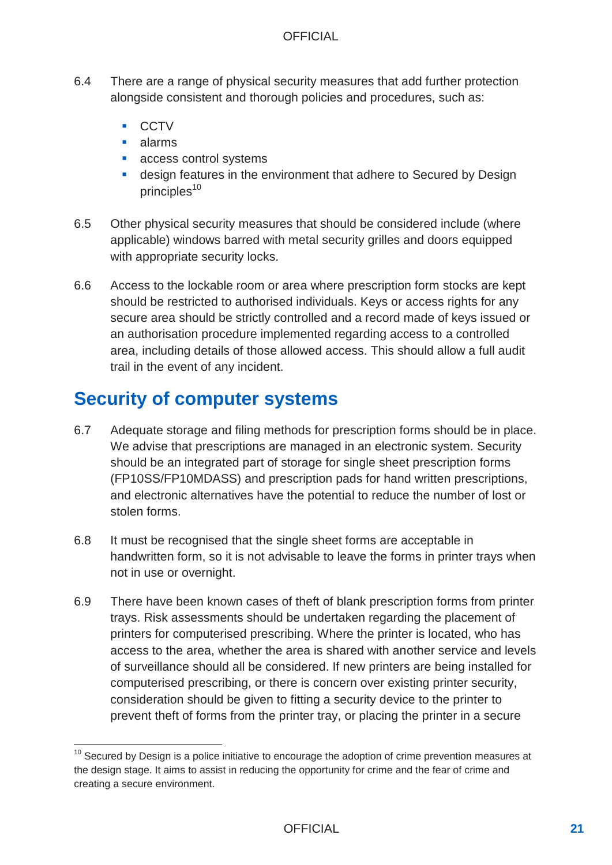- 6.4 There are a range of physical security measures that add further protection alongside consistent and thorough policies and procedures, such as:
	- **CCTV**
	- alarms

-

- access control systems
- design features in the environment that adhere to Secured by Design principles $10$
- 6.5 Other physical security measures that should be considered include (where applicable) windows barred with metal security grilles and doors equipped with appropriate security locks.
- 6.6 Access to the lockable room or area where prescription form stocks are kept should be restricted to authorised individuals. Keys or access rights for any secure area should be strictly controlled and a record made of keys issued or an authorisation procedure implemented regarding access to a controlled area, including details of those allowed access. This should allow a full audit trail in the event of any incident.

## **Security of computer systems**

- 6.7 Adequate storage and filing methods for prescription forms should be in place. We advise that prescriptions are managed in an electronic system. Security should be an integrated part of storage for single sheet prescription forms (FP10SS/FP10MDASS) and prescription pads for hand written prescriptions, and electronic alternatives have the potential to reduce the number of lost or stolen forms.
- 6.8 It must be recognised that the single sheet forms are acceptable in handwritten form, so it is not advisable to leave the forms in printer trays when not in use or overnight.
- 6.9 There have been known cases of theft of blank prescription forms from printer trays. Risk assessments should be undertaken regarding the placement of printers for computerised prescribing. Where the printer is located, who has access to the area, whether the area is shared with another service and levels of surveillance should all be considered. If new printers are being installed for computerised prescribing, or there is concern over existing printer security, consideration should be given to fitting a security device to the printer to prevent theft of forms from the printer tray, or placing the printer in a secure

 $10$  Secured by Design is a police initiative to encourage the adoption of crime prevention measures at the design stage. It aims to assist in reducing the opportunity for crime and the fear of crime and creating a secure environment.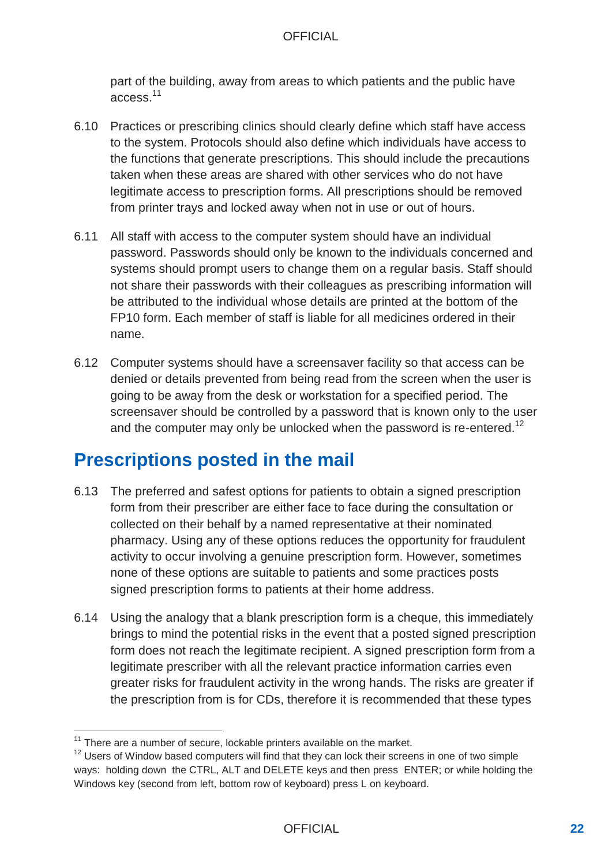part of the building, away from areas to which patients and the public have access.<sup>11</sup>

- 6.10 Practices or prescribing clinics should clearly define which staff have access to the system. Protocols should also define which individuals have access to the functions that generate prescriptions. This should include the precautions taken when these areas are shared with other services who do not have legitimate access to prescription forms. All prescriptions should be removed from printer trays and locked away when not in use or out of hours.
- 6.11 All staff with access to the computer system should have an individual password. Passwords should only be known to the individuals concerned and systems should prompt users to change them on a regular basis. Staff should not share their passwords with their colleagues as prescribing information will be attributed to the individual whose details are printed at the bottom of the FP10 form. Each member of staff is liable for all medicines ordered in their name.
- 6.12 Computer systems should have a screensaver facility so that access can be denied or details prevented from being read from the screen when the user is going to be away from the desk or workstation for a specified period. The screensaver should be controlled by a password that is known only to the user and the computer may only be unlocked when the password is re-entered.<sup>12</sup>

## **Prescriptions posted in the mail**

- 6.13 The preferred and safest options for patients to obtain a signed prescription form from their prescriber are either face to face during the consultation or collected on their behalf by a named representative at their nominated pharmacy. Using any of these options reduces the opportunity for fraudulent activity to occur involving a genuine prescription form. However, sometimes none of these options are suitable to patients and some practices posts signed prescription forms to patients at their home address.
- 6.14 Using the analogy that a blank prescription form is a cheque, this immediately brings to mind the potential risks in the event that a posted signed prescription form does not reach the legitimate recipient. A signed prescription form from a legitimate prescriber with all the relevant practice information carries even greater risks for fraudulent activity in the wrong hands. The risks are greater if the prescription from is for CDs, therefore it is recommended that these types

 $11$  There are a number of secure, lockable printers available on the market.

<sup>&</sup>lt;sup>12</sup> Users of Window based computers will find that they can lock their screens in one of two simple ways: holding down the CTRL, ALT and DELETE keys and then press ENTER; or while holding the Windows key (second from left, bottom row of keyboard) press L on keyboard.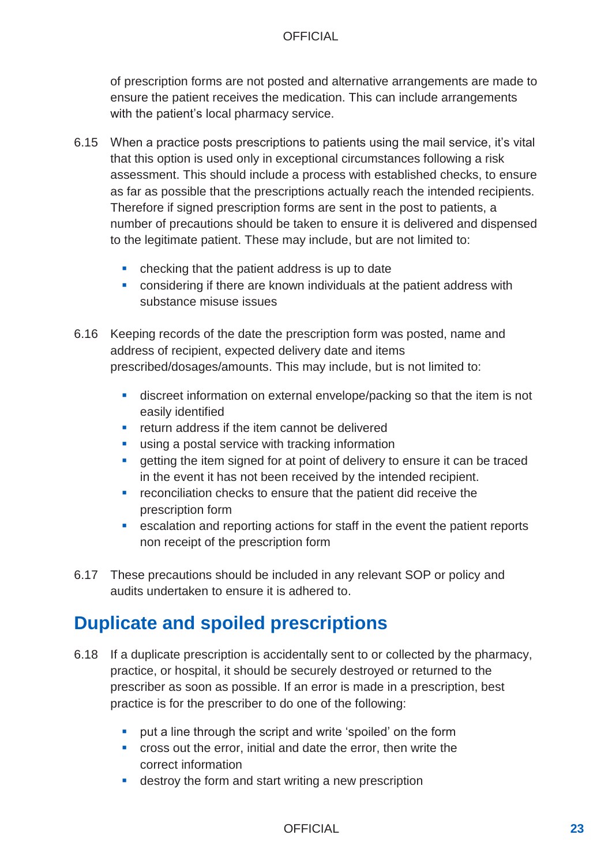of prescription forms are not posted and alternative arrangements are made to ensure the patient receives the medication. This can include arrangements with the patient's local pharmacy service.

- 6.15 When a practice posts prescriptions to patients using the mail service, it's vital that this option is used only in exceptional circumstances following a risk assessment. This should include a process with established checks, to ensure as far as possible that the prescriptions actually reach the intended recipients. Therefore if signed prescription forms are sent in the post to patients, a number of precautions should be taken to ensure it is delivered and dispensed to the legitimate patient. These may include, but are not limited to:
	- checking that the patient address is up to date
	- **EXECT** considering if there are known individuals at the patient address with substance misuse issues
- 6.16 Keeping records of the date the prescription form was posted, name and address of recipient, expected delivery date and items prescribed/dosages/amounts. This may include, but is not limited to:
	- discreet information on external envelope/packing so that the item is not easily identified
	- **F** return address if the item cannot be delivered
	- **using a postal service with tracking information**
	- **EXECT** getting the item signed for at point of delivery to ensure it can be traced in the event it has not been received by the intended recipient.
	- **F** reconciliation checks to ensure that the patient did receive the prescription form
	- escalation and reporting actions for staff in the event the patient reports non receipt of the prescription form
- 6.17 These precautions should be included in any relevant SOP or policy and audits undertaken to ensure it is adhered to.

## **Duplicate and spoiled prescriptions**

- 6.18 If a duplicate prescription is accidentally sent to or collected by the pharmacy, practice, or hospital, it should be securely destroyed or returned to the prescriber as soon as possible. If an error is made in a prescription, best practice is for the prescriber to do one of the following:
	- **•** put a line through the script and write 'spoiled' on the form
	- cross out the error, initial and date the error, then write the correct information
	- **destroy the form and start writing a new prescription**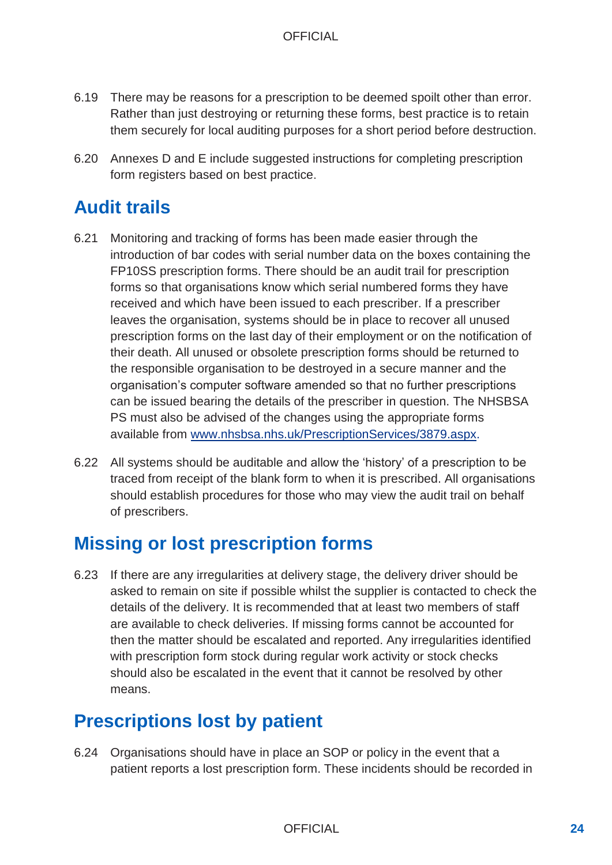- 6.19 There may be reasons for a prescription to be deemed spoilt other than error. Rather than just destroying or returning these forms, best practice is to retain them securely for local auditing purposes for a short period before destruction.
- 6.20 Annexes D and E include suggested instructions for completing prescription form registers based on best practice.

## **Audit trails**

- 6.21 Monitoring and tracking of forms has been made easier through the introduction of bar codes with serial number data on the boxes containing the FP10SS prescription forms. There should be an audit trail for prescription forms so that organisations know which serial numbered forms they have received and which have been issued to each prescriber. If a prescriber leaves the organisation, systems should be in place to recover all unused prescription forms on the last day of their employment or on the notification of their death. All unused or obsolete prescription forms should be returned to the responsible organisation to be destroyed in a secure manner and the organisation's computer software amended so that no further prescriptions can be issued bearing the details of the prescriber in question. The NHSBSA PS must also be advised of the changes using the appropriate forms avail[able from www.nhsbsa.nhs.uk/PrescriptionServices/38](http://www.nhsbsa.nhs.uk/PrescriptionServices/3879.aspx)79.aspx.
- 6.22 All systems should be auditable and allow the 'history' of a prescription to be traced from receipt of the blank form to when it is prescribed. All organisations should establish procedures for those who may view the audit trail on behalf of prescribers.

## **Missing or lost prescription forms**

6.23 If there are any irregularities at delivery stage, the delivery driver should be asked to remain on site if possible whilst the supplier is contacted to check the details of the delivery. It is recommended that at least two members of staff are available to check deliveries. If missing forms cannot be accounted for then the matter should be escalated and reported. Any irregularities identified with prescription form stock during regular work activity or stock checks should also be escalated in the event that it cannot be resolved by other means.

## **Prescriptions lost by patient**

6.24 Organisations should have in place an SOP or policy in the event that a patient reports a lost prescription form. These incidents should be recorded in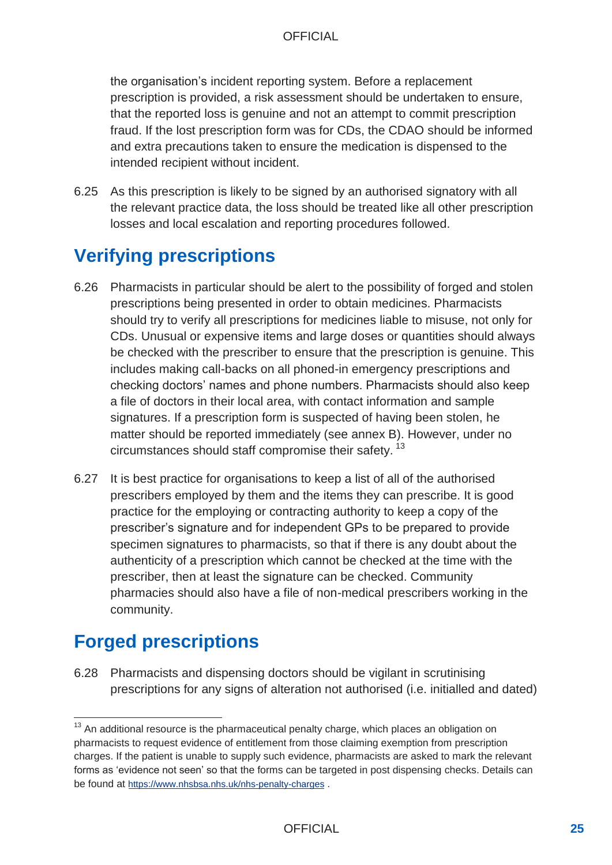the organisation's incident reporting system. Before a replacement prescription is provided, a risk assessment should be undertaken to ensure, that the reported loss is genuine and not an attempt to commit prescription fraud. If the lost prescription form was for CDs, the CDAO should be informed and extra precautions taken to ensure the medication is dispensed to the intended recipient without incident.

6.25 As this prescription is likely to be signed by an authorised signatory with all the relevant practice data, the loss should be treated like all other prescription losses and local escalation and reporting procedures followed.

## **Verifying prescriptions**

- 6.26 Pharmacists in particular should be alert to the possibility of forged and stolen prescriptions being presented in order to obtain medicines. Pharmacists should try to verify all prescriptions for medicines liable to misuse, not only for CDs. Unusual or expensive items and large doses or quantities should always be checked with the prescriber to ensure that the prescription is genuine. This includes making call-backs on all phoned-in emergency prescriptions and checking doctors' names and phone numbers. Pharmacists should also keep a file of doctors in their local area, with contact information and sample signatures. If a prescription form is suspected of having been stolen, he matter should be reported immediately (see annex B). However, under no circumstances should staff compromise their safety.  $^{13}$
- 6.27 It is best practice for organisations to keep a list of all of the authorised prescribers employed by them and the items they can prescribe. It is good practice for the employing or contracting authority to keep a copy of the prescriber's signature and for independent GPs to be prepared to provide specimen signatures to pharmacists, so that if there is any doubt about the authenticity of a prescription which cannot be checked at the time with the prescriber, then at least the signature can be checked. Community pharmacies should also have a file of non-medical prescribers working in the community.

## **Forged prescriptions**

6.28 Pharmacists and dispensing doctors should be vigilant in scrutinising prescriptions for any signs of alteration not authorised (i.e. initialled and dated)

 $13$  An additional resource is the pharmaceutical penalty charge, which places an obligation on pharmacists to request evidence of entitlement from those claiming exemption from prescription charges. If the patient is unable to supply such evidence, pharmacists are asked to mark the relevant forms as 'evidence not seen' so that the forms can be targeted in post dispensing checks. Details can be found at <https://www.nhsbsa.nhs.uk/nhs-penalty-charges> .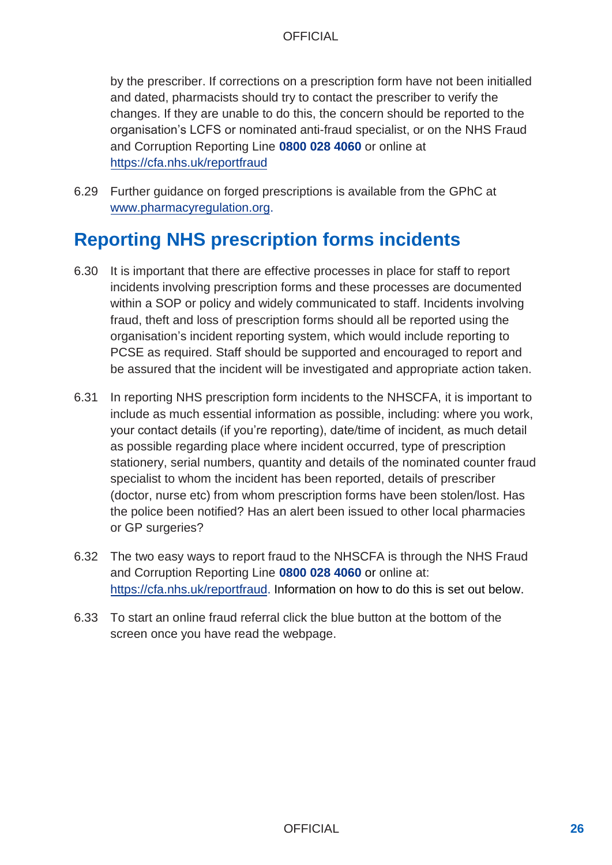by the prescriber. If corrections on a prescription form have not been initialled and dated, pharmacists should try to contact the prescriber to verify the changes. If they are unable to do this, the concern should be reported to the organisation's LCFS or nominated anti-fraud specialist, or on the NHS Fraud and Corruption Reporting Line **0800 028 4060** or online at <https://cfa.nhs.uk/reportfraud>

6.29 Further guidance on forged prescriptions is available from the GPhC at [www.pharmacyregulation.org.](http://www.pharmacyregulation.org/)

## **Reporting NHS prescription forms incidents**

- 6.30 It is important that there are effective processes in place for staff to report incidents involving prescription forms and these processes are documented within a SOP or policy and widely communicated to staff. Incidents involving fraud, theft and loss of prescription forms should all be reported using the organisation's incident reporting system, which would include reporting to PCSE as required. Staff should be supported and encouraged to report and be assured that the incident will be investigated and appropriate action taken.
- 6.31 In reporting NHS prescription form incidents to the NHSCFA, it is important to include as much essential information as possible, including: where you work, your contact details (if you're reporting), date/time of incident, as much detail as possible regarding place where incident occurred, type of prescription stationery, serial numbers, quantity and details of the nominated counter fraud specialist to whom the incident has been reported, details of prescriber (doctor, nurse etc) from whom prescription forms have been stolen/lost. Has the police been notified? Has an alert been issued to other local pharmacies or GP surgeries?
- 6.32 The two easy ways to report fraud to the NHSCFA is through the NHS Fraud and Corruption Reporting Line **0800 028 4060** or online at: [https://cfa.nhs.uk/reportfraud.](https://cfa.nhs.uk/reportfraud) Information on how to do this is set out below.
- 6.33 To start an online fraud referral click the blue button at the bottom of the screen once you have read the webpage.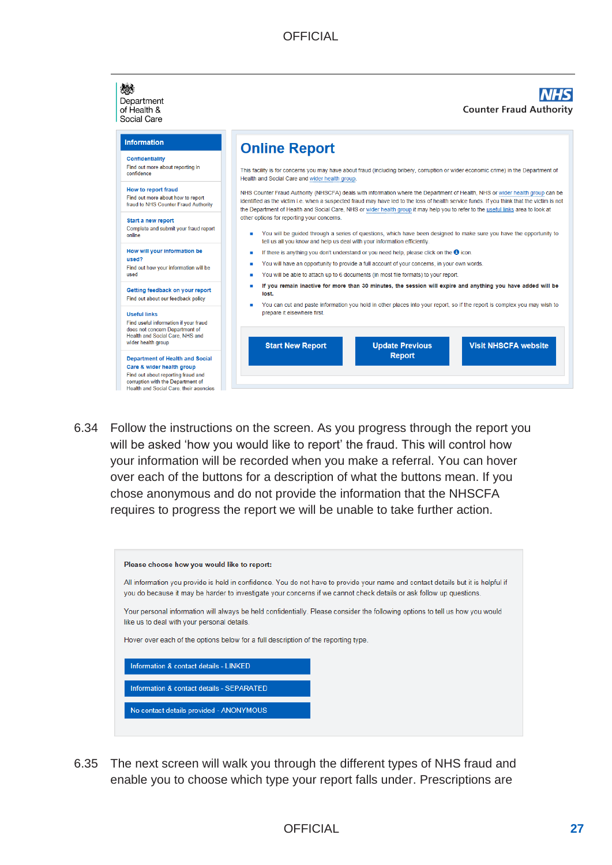

6.34 Follow the instructions on the screen. As you progress through the report you will be asked 'how you would like to report' the fraud. This will control how your information will be recorded when you make a referral. You can hover over each of the buttons for a description of what the buttons mean. If you chose anonymous and do not provide the information that the NHSCFA requires to progress the report we will be unable to take further action.

| Please choose how you would like to report:                                                                                                                                                                                                             |  |  |  |  |  |  |
|---------------------------------------------------------------------------------------------------------------------------------------------------------------------------------------------------------------------------------------------------------|--|--|--|--|--|--|
| All information you provide is held in confidence. You do not have to provide your name and contact details but it is helpful if<br>you do because it may be harder to investigate your concerns if we cannot check details or ask follow up questions. |  |  |  |  |  |  |
| Your personal information will always be held confidentially. Please consider the following options to tell us how you would<br>like us to deal with your personal details.                                                                             |  |  |  |  |  |  |
| Hover over each of the options below for a full description of the reporting type.                                                                                                                                                                      |  |  |  |  |  |  |
| Information & contact details - LINKED                                                                                                                                                                                                                  |  |  |  |  |  |  |
| Information & contact details - SEPARATED                                                                                                                                                                                                               |  |  |  |  |  |  |
| No contact details provided - ANONYMOUS                                                                                                                                                                                                                 |  |  |  |  |  |  |
|                                                                                                                                                                                                                                                         |  |  |  |  |  |  |

6.35 The next screen will walk you through the different types of NHS fraud and enable you to choose which type your report falls under. Prescriptions are

#### OFFICIAL **27**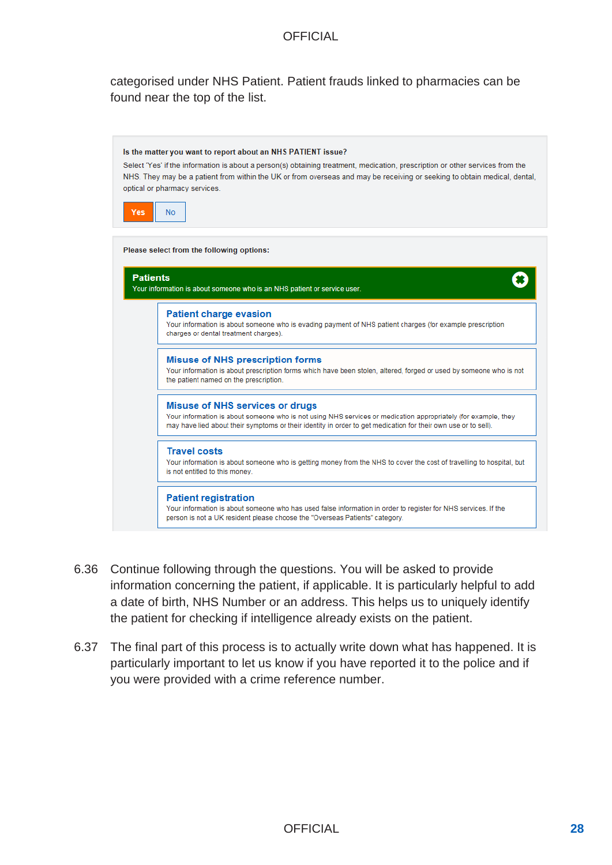categorised under NHS Patient. Patient frauds linked to pharmacies can be found near the top of the list.



- 6.36 Continue following through the questions. You will be asked to provide information concerning the patient, if applicable. It is particularly helpful to add a date of birth, NHS Number or an address. This helps us to uniquely identify the patient for checking if intelligence already exists on the patient.
- 6.37 The final part of this process is to actually write down what has happened. It is particularly important to let us know if you have reported it to the police and if you were provided with a crime reference number.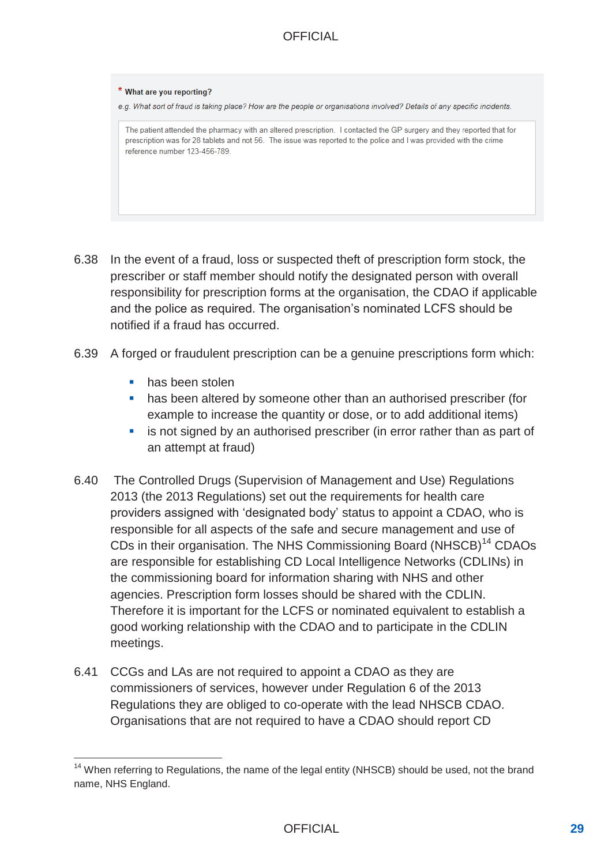#### \* What are you reporting?

e.g. What sort of fraud is taking place? How are the people or organisations involved? Details of any specific incidents.

The patient attended the pharmacy with an altered prescription. I contacted the GP surgery and they reported that for prescription was for 28 tablets and not 56. The issue was reported to the police and I was provided with the crime reference number 123-456-789.

- 6.38 In the event of a fraud, loss or suspected theft of prescription form stock, the prescriber or staff member should notify the designated person with overall responsibility for prescription forms at the organisation, the CDAO if applicable and the police as required. The organisation's nominated LCFS should be notified if a fraud has occurred.
- 6.39 A forged or fraudulent prescription can be a genuine prescriptions form which:
	- **has been stolen**
	- has been altered by someone other than an authorised prescriber (for example to increase the quantity or dose, or to add additional items)
	- is not signed by an authorised prescriber (in error rather than as part of an attempt at fraud)
- 6.40 The Controlled Drugs (Supervision of Management and Use) Regulations 2013 (the 2013 Regulations) set out the requirements for health care providers assigned with 'designated body' status to appoint a CDAO, who is responsible for all aspects of the safe and secure management and use of CDs in their organisation. The NHS Commissioning Board (NHSCB)<sup>14</sup> CDAOs are responsible for establishing CD Local Intelligence Networks (CDLINs) in the commissioning board for information sharing with NHS and other agencies. Prescription form losses should be shared with the CDLIN. Therefore it is important for the LCFS or nominated equivalent to establish a good working relationship with the CDAO and to participate in the CDLIN meetings.
- 6.41 CCGs and LAs are not required to appoint a CDAO as they are commissioners of services, however under Regulation 6 of the 2013 Regulations they are obliged to co-operate with the lead NHSCB CDAO. Organisations that are not required to have a CDAO should report CD

<sup>&</sup>lt;sup>14</sup> When referring to Regulations, the name of the legal entity (NHSCB) should be used, not the brand name, NHS England.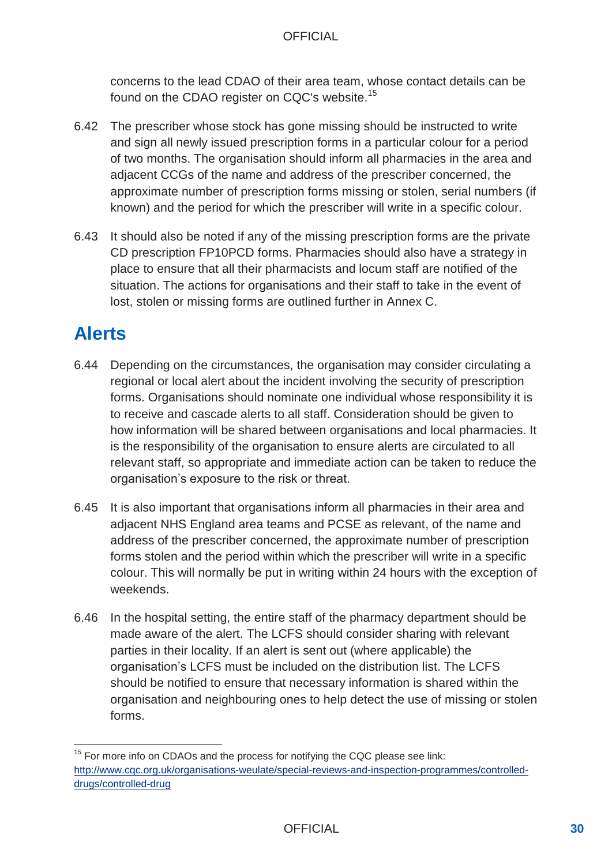concerns to the lead CDAO of their area team, whose contact details can be found on the CDAO register on CQC's website.<sup>15</sup>

- 6.42 The prescriber whose stock has gone missing should be instructed to write and sign all newly issued prescription forms in a particular colour for a period of two months. The organisation should inform all pharmacies in the area and adjacent CCGs of the name and address of the prescriber concerned, the approximate number of prescription forms missing or stolen, serial numbers (if known) and the period for which the prescriber will write in a specific colour.
- 6.43 It should also be noted if any of the missing prescription forms are the private CD prescription FP10PCD forms. Pharmacies should also have a strategy in place to ensure that all their pharmacists and locum staff are notified of the situation. The actions for organisations and their staff to take in the event of lost, stolen or missing forms are outlined further in Annex C.

## **Alerts**

- 6.44 Depending on the circumstances, the organisation may consider circulating a regional or local alert about the incident involving the security of prescription forms. Organisations should nominate one individual whose responsibility it is to receive and cascade alerts to all staff. Consideration should be given to how information will be shared between organisations and local pharmacies. It is the responsibility of the organisation to ensure alerts are circulated to all relevant staff, so appropriate and immediate action can be taken to reduce the organisation's exposure to the risk or threat.
- 6.45 It is also important that organisations inform all pharmacies in their area and adjacent NHS England area teams and PCSE as relevant, of the name and address of the prescriber concerned, the approximate number of prescription forms stolen and the period within which the prescriber will write in a specific colour. This will normally be put in writing within 24 hours with the exception of weekends.
- 6.46 In the hospital setting, the entire staff of the pharmacy department should be made aware of the alert. The LCFS should consider sharing with relevant parties in their locality. If an alert is sent out (where applicable) the organisation's LCFS must be included on the distribution list. The LCFS should be notified to ensure that necessary information is shared within the organisation and neighbouring ones to help detect the use of missing or stolen forms.

<sup>&</sup>lt;sup>15</sup> For more info on CDAOs and the process for notifying the CQC please see link: [http://www.cqc.org.uk/organisations-weulate/special-reviews-and-inspection-programmes/controlled](http://www.cqc.org.uk/organisations-weulate/special-reviews-and-inspection-programmes/controlled-drugs/controlled-drug)[drugs/controlled-drug](http://www.cqc.org.uk/organisations-weulate/special-reviews-and-inspection-programmes/controlled-drugs/controlled-drug)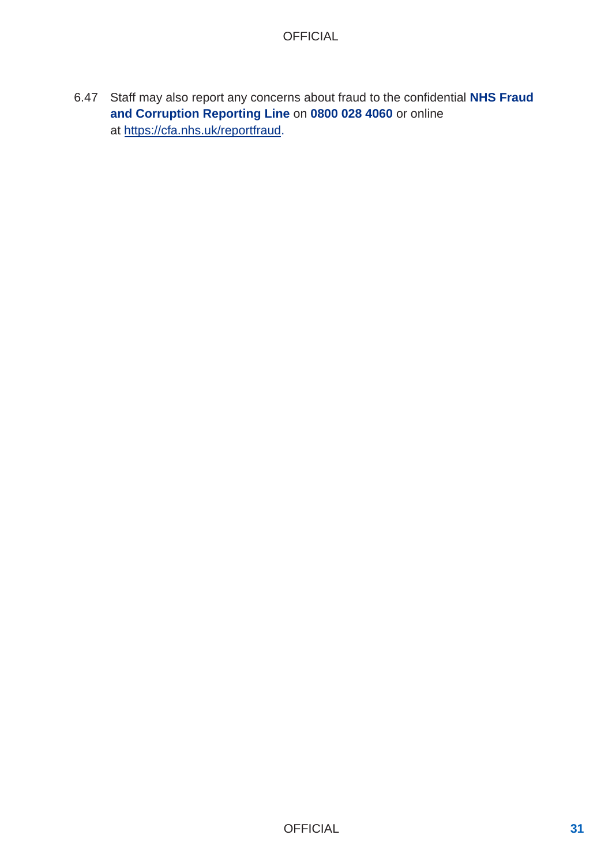6.47 Staff may also report any concerns about fraud to the confidential **NHS Fraud and Corruption Reporting Line** on **0800 028 4060** or online [at https://cfa.nhs.uk/reportfrau](https://cfa.nhs.uk/reportfraud)d.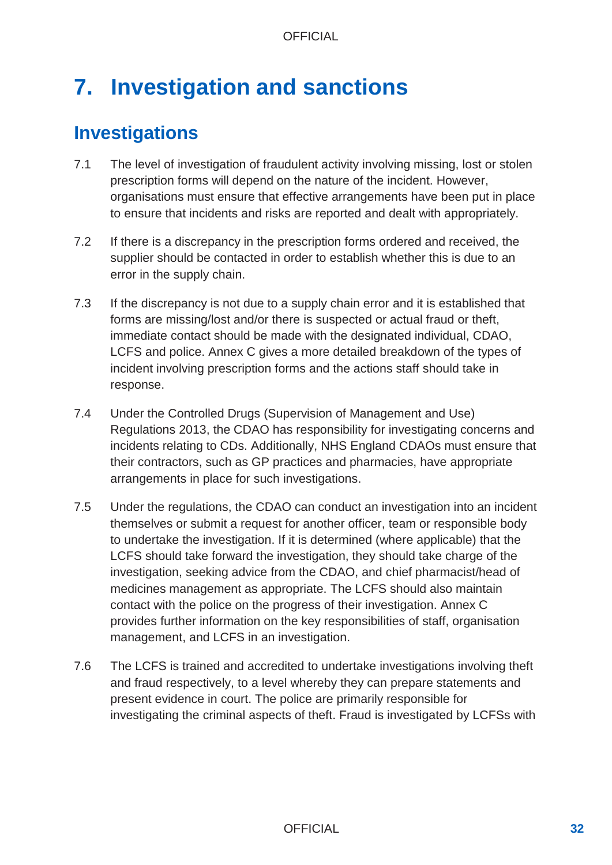# **7. Investigation and sanctions**

## **Investigations**

- 7.1 The level of investigation of fraudulent activity involving missing, lost or stolen prescription forms will depend on the nature of the incident. However, organisations must ensure that effective arrangements have been put in place to ensure that incidents and risks are reported and dealt with appropriately.
- 7.2 If there is a discrepancy in the prescription forms ordered and received, the supplier should be contacted in order to establish whether this is due to an error in the supply chain.
- 7.3 If the discrepancy is not due to a supply chain error and it is established that forms are missing/lost and/or there is suspected or actual fraud or theft, immediate contact should be made with the designated individual, CDAO, LCFS and police. Annex C gives a more detailed breakdown of the types of incident involving prescription forms and the actions staff should take in response.
- 7.4 Under the Controlled Drugs (Supervision of Management and Use) Regulations 2013, the CDAO has responsibility for investigating concerns and incidents relating to CDs. Additionally, NHS England CDAOs must ensure that their contractors, such as GP practices and pharmacies, have appropriate arrangements in place for such investigations.
- 7.5 Under the regulations, the CDAO can conduct an investigation into an incident themselves or submit a request for another officer, team or responsible body to undertake the investigation. If it is determined (where applicable) that the LCFS should take forward the investigation, they should take charge of the investigation, seeking advice from the CDAO, and chief pharmacist/head of medicines management as appropriate. The LCFS should also maintain contact with the police on the progress of their investigation. Annex C provides further information on the key responsibilities of staff, organisation management, and LCFS in an investigation.
- 7.6 The LCFS is trained and accredited to undertake investigations involving theft and fraud respectively, to a level whereby they can prepare statements and present evidence in court. The police are primarily responsible for investigating the criminal aspects of theft. Fraud is investigated by LCFSs with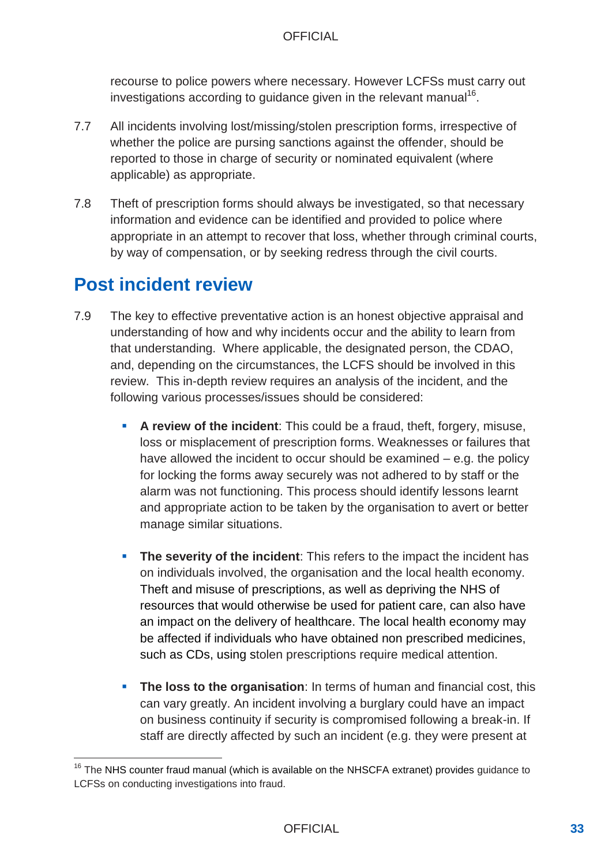recourse to police powers where necessary. However LCFSs must carry out investigations according to guidance given in the relevant manual<sup>16</sup>.

- 7.7 All incidents involving lost/missing/stolen prescription forms, irrespective of whether the police are pursing sanctions against the offender, should be reported to those in charge of security or nominated equivalent (where applicable) as appropriate.
- 7.8 Theft of prescription forms should always be investigated, so that necessary information and evidence can be identified and provided to police where appropriate in an attempt to recover that loss, whether through criminal courts, by way of compensation, or by seeking redress through the civil courts.

## **Post incident review**

- 7.9 The key to effective preventative action is an honest objective appraisal and understanding of how and why incidents occur and the ability to learn from that understanding. Where applicable, the designated person, the CDAO, and, depending on the circumstances, the LCFS should be involved in this review. This in-depth review requires an analysis of the incident, and the following various processes/issues should be considered:
	- **A review of the incident**: This could be a fraud, theft, forgery, misuse, loss or misplacement of prescription forms. Weaknesses or failures that have allowed the incident to occur should be examined – e.g. the policy for locking the forms away securely was not adhered to by staff or the alarm was not functioning. This process should identify lessons learnt and appropriate action to be taken by the organisation to avert or better manage similar situations.
	- **The severity of the incident**: This refers to the impact the incident has on individuals involved, the organisation and the local health economy. Theft and misuse of prescriptions, as well as depriving the NHS of resources that would otherwise be used for patient care, can also have an impact on the delivery of healthcare. The local health economy may be affected if individuals who have obtained non prescribed medicines, such as CDs, using stolen prescriptions require medical attention.
	- **The loss to the organisation**: In terms of human and financial cost, this can vary greatly. An incident involving a burglary could have an impact on business continuity if security is compromised following a break-in. If staff are directly affected by such an incident (e.g. they were present at

<sup>&</sup>lt;sup>16</sup> The NHS counter fraud manual (which is available on the NHSCFA extranet) provides guidance to LCFSs on conducting investigations into fraud.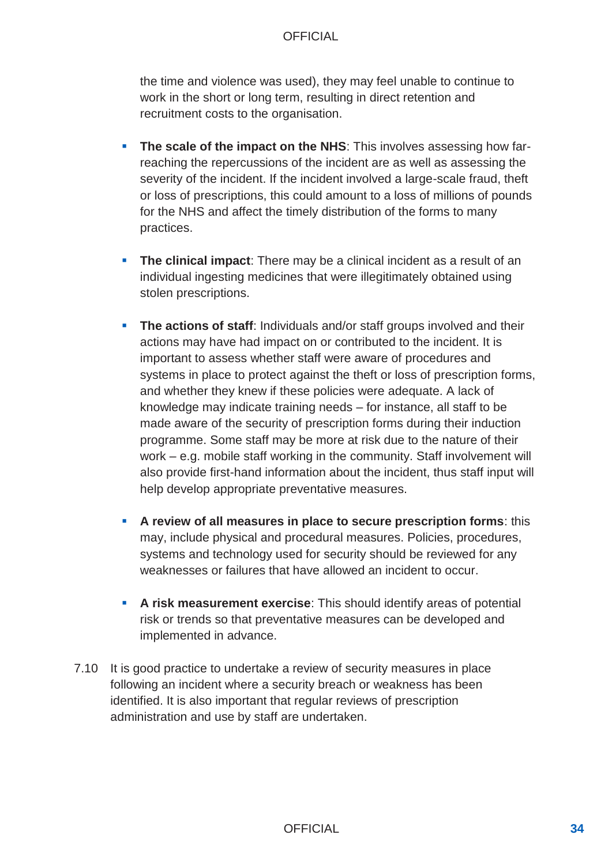the time and violence was used), they may feel unable to continue to work in the short or long term, resulting in direct retention and recruitment costs to the organisation.

- **The scale of the impact on the NHS:** This involves assessing how farreaching the repercussions of the incident are as well as assessing the severity of the incident. If the incident involved a large-scale fraud, theft or loss of prescriptions, this could amount to a loss of millions of pounds for the NHS and affect the timely distribution of the forms to many practices.
- **The clinical impact:** There may be a clinical incident as a result of an individual ingesting medicines that were illegitimately obtained using stolen prescriptions.
- **The actions of staff**: Individuals and/or staff groups involved and their actions may have had impact on or contributed to the incident. It is important to assess whether staff were aware of procedures and systems in place to protect against the theft or loss of prescription forms, and whether they knew if these policies were adequate. A lack of knowledge may indicate training needs – for instance, all staff to be made aware of the security of prescription forms during their induction programme. Some staff may be more at risk due to the nature of their work – e.g. mobile staff working in the community. Staff involvement will also provide first-hand information about the incident, thus staff input will help develop appropriate preventative measures.
- **A review of all measures in place to secure prescription forms**: this may, include physical and procedural measures. Policies, procedures, systems and technology used for security should be reviewed for any weaknesses or failures that have allowed an incident to occur.
- **A risk measurement exercise**: This should identify areas of potential risk or trends so that preventative measures can be developed and implemented in advance.
- 7.10 It is good practice to undertake a review of security measures in place following an incident where a security breach or weakness has been identified. It is also important that regular reviews of prescription administration and use by staff are undertaken.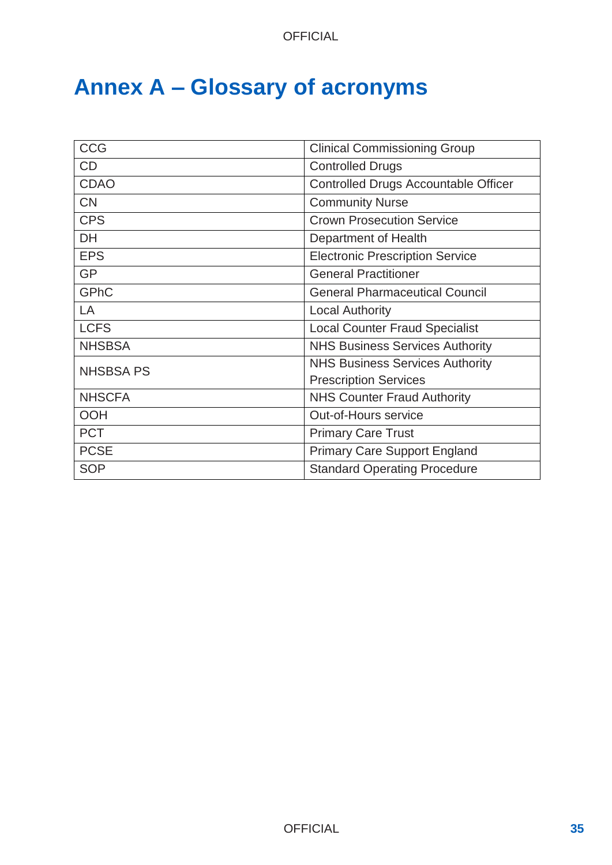# **Annex A – Glossary of acronyms**

| <b>CCG</b>       | <b>Clinical Commissioning Group</b>         |  |  |
|------------------|---------------------------------------------|--|--|
| CD               | <b>Controlled Drugs</b>                     |  |  |
| <b>CDAO</b>      | <b>Controlled Drugs Accountable Officer</b> |  |  |
| <b>CN</b>        | <b>Community Nurse</b>                      |  |  |
| <b>CPS</b>       | <b>Crown Prosecution Service</b>            |  |  |
| <b>DH</b>        | Department of Health                        |  |  |
| <b>EPS</b>       | <b>Electronic Prescription Service</b>      |  |  |
| <b>GP</b>        | <b>General Practitioner</b>                 |  |  |
| <b>GPhC</b>      | <b>General Pharmaceutical Council</b>       |  |  |
| LA               | <b>Local Authority</b>                      |  |  |
| <b>LCFS</b>      | <b>Local Counter Fraud Specialist</b>       |  |  |
| <b>NHSBSA</b>    | <b>NHS Business Services Authority</b>      |  |  |
| <b>NHSBSA PS</b> | <b>NHS Business Services Authority</b>      |  |  |
|                  | <b>Prescription Services</b>                |  |  |
| <b>NHSCFA</b>    | <b>NHS Counter Fraud Authority</b>          |  |  |
| <b>OOH</b>       | <b>Out-of-Hours service</b>                 |  |  |
| <b>PCT</b>       | <b>Primary Care Trust</b>                   |  |  |
| <b>PCSE</b>      | <b>Primary Care Support England</b>         |  |  |
| <b>SOP</b>       | <b>Standard Operating Procedure</b>         |  |  |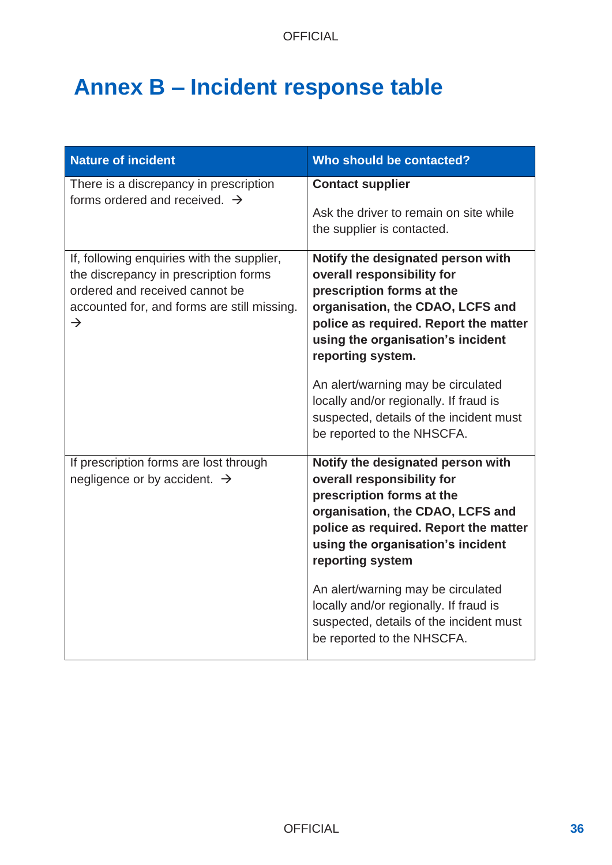# **Annex B – Incident response table**

| <b>Nature of incident</b>                                                                                                                                                             | Who should be contacted?                                                                                                                                                                                                            |
|---------------------------------------------------------------------------------------------------------------------------------------------------------------------------------------|-------------------------------------------------------------------------------------------------------------------------------------------------------------------------------------------------------------------------------------|
| There is a discrepancy in prescription<br>forms ordered and received. $\rightarrow$                                                                                                   | <b>Contact supplier</b><br>Ask the driver to remain on site while<br>the supplier is contacted.                                                                                                                                     |
| If, following enquiries with the supplier,<br>the discrepancy in prescription forms<br>ordered and received cannot be<br>accounted for, and forms are still missing.<br>$\rightarrow$ | Notify the designated person with<br>overall responsibility for<br>prescription forms at the<br>organisation, the CDAO, LCFS and<br>police as required. Report the matter<br>using the organisation's incident<br>reporting system. |
|                                                                                                                                                                                       | An alert/warning may be circulated<br>locally and/or regionally. If fraud is<br>suspected, details of the incident must<br>be reported to the NHSCFA.                                                                               |
| If prescription forms are lost through<br>negligence or by accident. $\rightarrow$                                                                                                    | Notify the designated person with<br>overall responsibility for<br>prescription forms at the<br>organisation, the CDAO, LCFS and<br>police as required. Report the matter<br>using the organisation's incident<br>reporting system  |
|                                                                                                                                                                                       | An alert/warning may be circulated<br>locally and/or regionally. If fraud is<br>suspected, details of the incident must<br>be reported to the NHSCFA.                                                                               |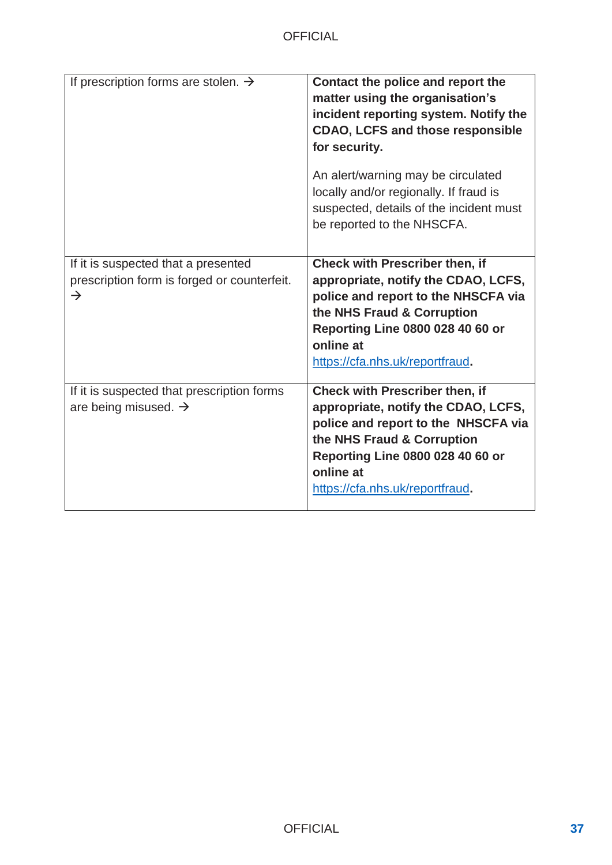| If prescription forms are stolen. $\rightarrow$                                                     | Contact the police and report the<br>matter using the organisation's<br>incident reporting system. Notify the<br><b>CDAO, LCFS and those responsible</b><br>for security.                                                                    |
|-----------------------------------------------------------------------------------------------------|----------------------------------------------------------------------------------------------------------------------------------------------------------------------------------------------------------------------------------------------|
|                                                                                                     | An alert/warning may be circulated<br>locally and/or regionally. If fraud is<br>suspected, details of the incident must<br>be reported to the NHSCFA.                                                                                        |
| If it is suspected that a presented<br>prescription form is forged or counterfeit.<br>$\rightarrow$ | <b>Check with Prescriber then, if</b><br>appropriate, notify the CDAO, LCFS,<br>police and report to the NHSCFA via<br>the NHS Fraud & Corruption<br><b>Reporting Line 0800 028 40 60 or</b><br>online at<br>https://cfa.nhs.uk/reportfraud. |
| If it is suspected that prescription forms<br>are being misused. $\rightarrow$                      | <b>Check with Prescriber then, if</b><br>appropriate, notify the CDAO, LCFS,<br>police and report to the NHSCFA via<br>the NHS Fraud & Corruption<br><b>Reporting Line 0800 028 40 60 or</b><br>online at<br>https://cfa.nhs.uk/reportfraud. |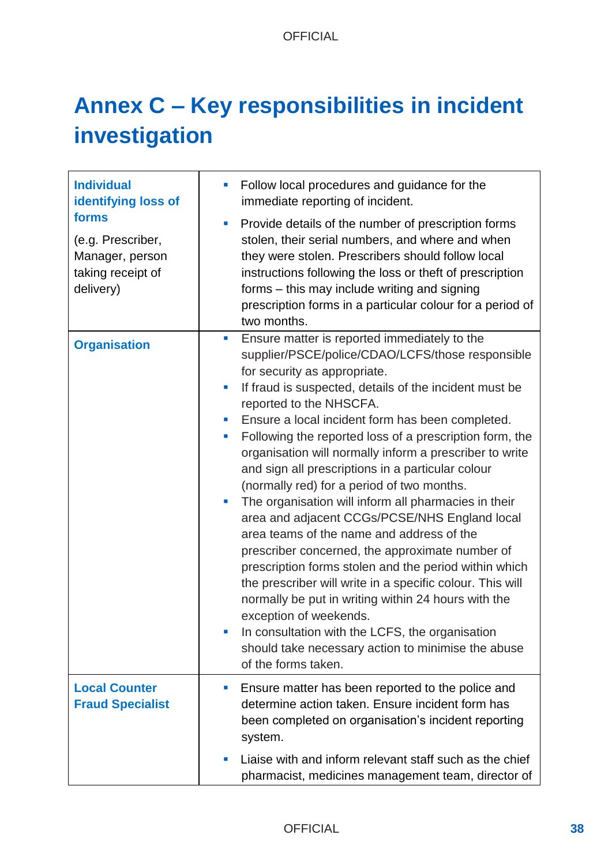# **Annex C – Key responsibilities in incident investigation**

| <b>Individual</b><br>identifying loss of                                        | Follow local procedures and guidance for the<br>immediate reporting of incident.                                                                                                                                                                                                                                                                                                                                                                                                                                                                                                                                                                                                                                                                                                                                                                                                                                                                                                                                                                                                    |
|---------------------------------------------------------------------------------|-------------------------------------------------------------------------------------------------------------------------------------------------------------------------------------------------------------------------------------------------------------------------------------------------------------------------------------------------------------------------------------------------------------------------------------------------------------------------------------------------------------------------------------------------------------------------------------------------------------------------------------------------------------------------------------------------------------------------------------------------------------------------------------------------------------------------------------------------------------------------------------------------------------------------------------------------------------------------------------------------------------------------------------------------------------------------------------|
| forms<br>(e.g. Prescriber,<br>Manager, person<br>taking receipt of<br>delivery) | Provide details of the number of prescription forms<br>ш<br>stolen, their serial numbers, and where and when<br>they were stolen. Prescribers should follow local<br>instructions following the loss or theft of prescription<br>forms – this may include writing and signing<br>prescription forms in a particular colour for a period of<br>two months.                                                                                                                                                                                                                                                                                                                                                                                                                                                                                                                                                                                                                                                                                                                           |
| <b>Organisation</b>                                                             | Ensure matter is reported immediately to the<br>$\blacksquare$<br>supplier/PSCE/police/CDAO/LCFS/those responsible<br>for security as appropriate.<br>If fraud is suspected, details of the incident must be<br>reported to the NHSCFA.<br>Ensure a local incident form has been completed.<br>ш<br>Following the reported loss of a prescription form, the<br>ш<br>organisation will normally inform a prescriber to write<br>and sign all prescriptions in a particular colour<br>(normally red) for a period of two months.<br>The organisation will inform all pharmacies in their<br>ш<br>area and adjacent CCGs/PCSE/NHS England local<br>area teams of the name and address of the<br>prescriber concerned, the approximate number of<br>prescription forms stolen and the period within which<br>the prescriber will write in a specific colour. This will<br>normally be put in writing within 24 hours with the<br>exception of weekends.<br>In consultation with the LCFS, the organisation<br>should take necessary action to minimise the abuse<br>of the forms taken. |
| <b>Local Counter</b><br><b>Fraud Specialist</b>                                 | Ensure matter has been reported to the police and<br>ш<br>determine action taken. Ensure incident form has<br>been completed on organisation's incident reporting<br>system.                                                                                                                                                                                                                                                                                                                                                                                                                                                                                                                                                                                                                                                                                                                                                                                                                                                                                                        |
|                                                                                 | Liaise with and inform relevant staff such as the chief<br>ш<br>pharmacist, medicines management team, director of                                                                                                                                                                                                                                                                                                                                                                                                                                                                                                                                                                                                                                                                                                                                                                                                                                                                                                                                                                  |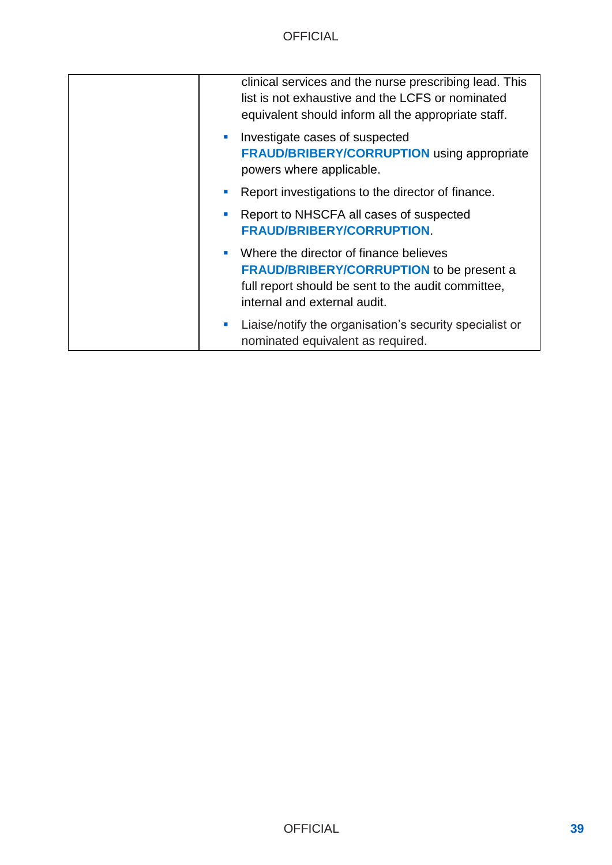| clinical services and the nurse prescribing lead. This<br>list is not exhaustive and the LCFS or nominated<br>equivalent should inform all the appropriate staff.               |
|---------------------------------------------------------------------------------------------------------------------------------------------------------------------------------|
| Investigate cases of suspected<br><b>Contract</b><br><b>FRAUD/BRIBERY/CORRUPTION using appropriate</b><br>powers where applicable.                                              |
| Report investigations to the director of finance.                                                                                                                               |
| Report to NHSCFA all cases of suspected<br><b>FRAUD/BRIBERY/CORRUPTION.</b>                                                                                                     |
| Where the director of finance believes<br><b>FRAUD/BRIBERY/CORRUPTION to be present a</b><br>full report should be sent to the audit committee,<br>internal and external audit. |
| Liaise/notify the organisation's security specialist or<br>nominated equivalent as required.                                                                                    |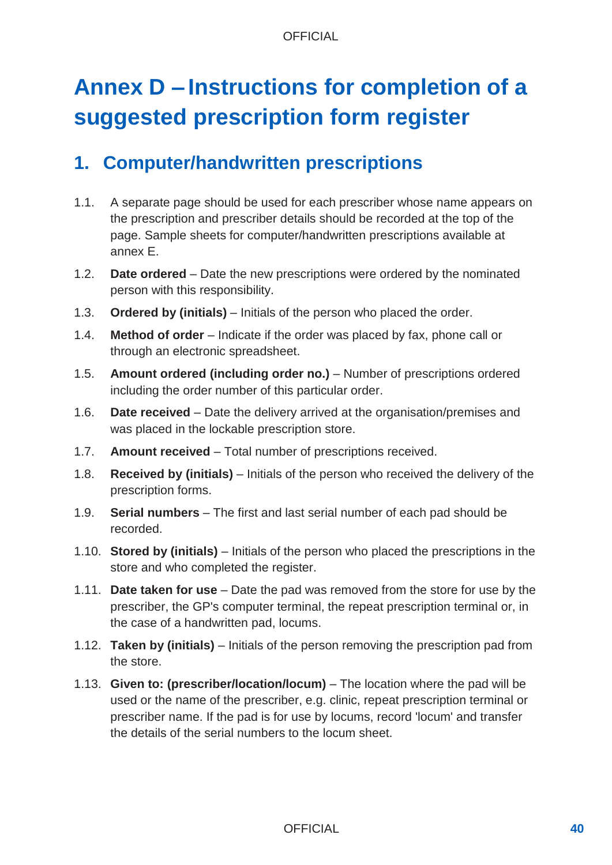# **Annex D – Instructions for completion of a suggested prescription form register**

## **1. Computer/handwritten prescriptions**

- 1.1. A separate page should be used for each prescriber whose name appears on the prescription and prescriber details should be recorded at the top of the page. Sample sheets for computer/handwritten prescriptions available at annex E.
- 1.2. **Date ordered** Date the new prescriptions were ordered by the nominated person with this responsibility.
- 1.3. **Ordered by (initials)** Initials of the person who placed the order.
- 1.4. **Method of order** Indicate if the order was placed by fax, phone call or through an electronic spreadsheet.
- 1.5. **Amount ordered (including order no.)** Number of prescriptions ordered including the order number of this particular order.
- 1.6. **Date received** Date the delivery arrived at the organisation/premises and was placed in the lockable prescription store.
- 1.7. **Amount received** Total number of prescriptions received.
- 1.8. **Received by (initials)** Initials of the person who received the delivery of the prescription forms.
- 1.9. **Serial numbers** The first and last serial number of each pad should be recorded.
- 1.10. **Stored by (initials)** Initials of the person who placed the prescriptions in the store and who completed the register.
- 1.11. **Date taken for use** Date the pad was removed from the store for use by the prescriber, the GP's computer terminal, the repeat prescription terminal or, in the case of a handwritten pad, locums.
- 1.12. **Taken by (initials)** Initials of the person removing the prescription pad from the store.
- 1.13. **Given to: (prescriber/location/locum)** The location where the pad will be used or the name of the prescriber, e.g. clinic, repeat prescription terminal or prescriber name. If the pad is for use by locums, record 'locum' and transfer the details of the serial numbers to the locum sheet.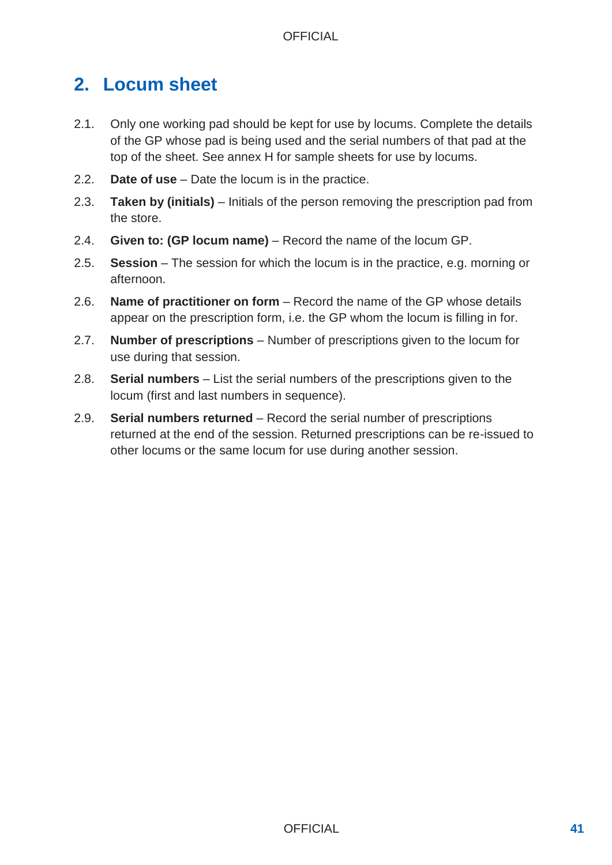## **2. Locum sheet**

- 2.1. Only one working pad should be kept for use by locums. Complete the details of the GP whose pad is being used and the serial numbers of that pad at the top of the sheet. See annex H for sample sheets for use by locums.
- 2.2. **Date of use** Date the locum is in the practice.
- 2.3. **Taken by (initials)**  Initials of the person removing the prescription pad from the store.
- 2.4. **Given to: (GP locum name)**  Record the name of the locum GP.
- 2.5. **Session** The session for which the locum is in the practice, e.g. morning or afternoon.
- 2.6. **Name of practitioner on form** Record the name of the GP whose details appear on the prescription form, i.e. the GP whom the locum is filling in for.
- 2.7. **Number of prescriptions** Number of prescriptions given to the locum for use during that session.
- 2.8. **Serial numbers** List the serial numbers of the prescriptions given to the locum (first and last numbers in sequence).
- 2.9. **Serial numbers returned** Record the serial number of prescriptions returned at the end of the session. Returned prescriptions can be re-issued to other locums or the same locum for use during another session.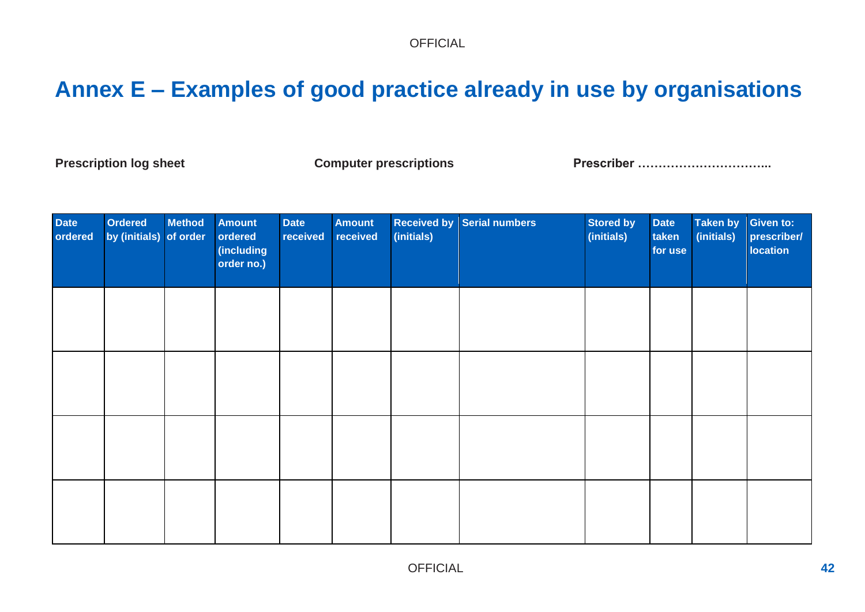# **Annex E – Examples of good practice already in use by organisations**

Prescription log sheet **Computer prescriptions** Prescriber …………………………………………………………

| Date<br>ordered | Ordered<br>by (initials) of order | <b>Method</b> | Amount<br>ordered<br>(including<br>order no.) | <b>Date</b><br>received | <b>Amount</b><br>received | (initials) | <b>Received by Serial numbers</b> | <b>Stored by</b><br>(initials) | <b>Date</b><br>taken<br>for use | <b>Taken by</b><br>(initials) | <b>Given to:</b><br>prescriber/<br><b>location</b> |
|-----------------|-----------------------------------|---------------|-----------------------------------------------|-------------------------|---------------------------|------------|-----------------------------------|--------------------------------|---------------------------------|-------------------------------|----------------------------------------------------|
|                 |                                   |               |                                               |                         |                           |            |                                   |                                |                                 |                               |                                                    |
|                 |                                   |               |                                               |                         |                           |            |                                   |                                |                                 |                               |                                                    |
|                 |                                   |               |                                               |                         |                           |            |                                   |                                |                                 |                               |                                                    |
|                 |                                   |               |                                               |                         |                           |            |                                   |                                |                                 |                               |                                                    |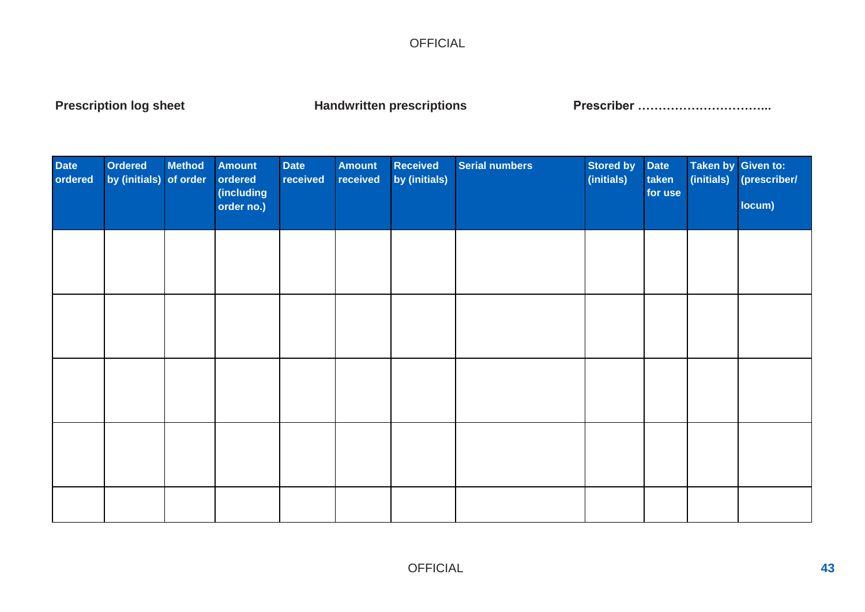Prescription log sheet **Nandwritten prescriptions** Prescriber …………………………………………………

| Date<br>ordered | Ordered<br>by (initials) of order | <b>Method</b> | <b>Amount</b><br>ordered<br>(including<br>order no.) | Date<br>received | <b>Amount</b><br>received | <b>Received</b><br>by (initials) | <b>Serial numbers</b> | <b>Stored by</b><br>(initials) | <b>Date</b><br>taken<br>for use | Taken by Given to:<br>(initials) | (prescriber/<br>locum) |
|-----------------|-----------------------------------|---------------|------------------------------------------------------|------------------|---------------------------|----------------------------------|-----------------------|--------------------------------|---------------------------------|----------------------------------|------------------------|
|                 |                                   |               |                                                      |                  |                           |                                  |                       |                                |                                 |                                  |                        |
|                 |                                   |               |                                                      |                  |                           |                                  |                       |                                |                                 |                                  |                        |
|                 |                                   |               |                                                      |                  |                           |                                  |                       |                                |                                 |                                  |                        |
|                 |                                   |               |                                                      |                  |                           |                                  |                       |                                |                                 |                                  |                        |
|                 |                                   |               |                                                      |                  |                           |                                  |                       |                                |                                 |                                  |                        |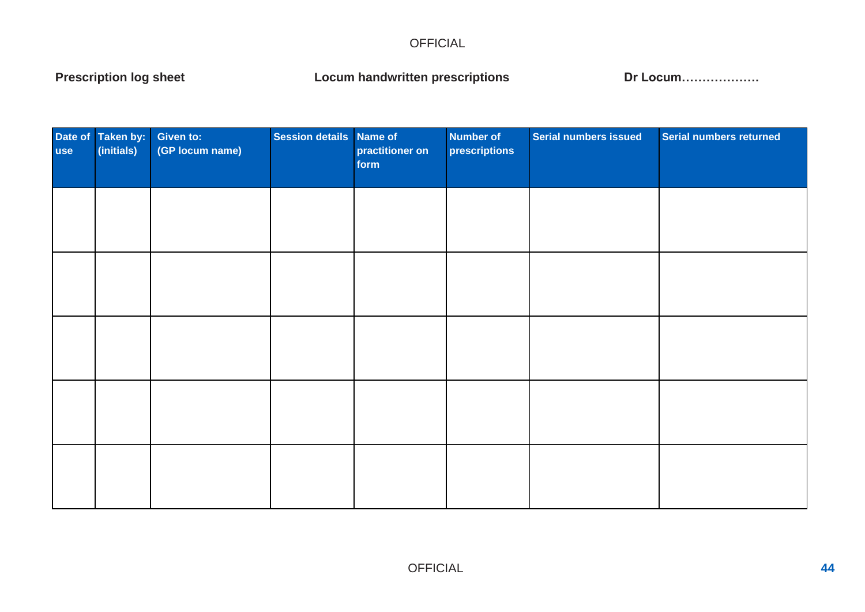Prescription log sheet **Locum handwritten prescriptions Dr Locum**………………

| Date of Taken by:<br>use (initials)<br>(initials) | Given to:<br>(GP locum name) | Session details Name of | practitioner on<br>form | <b>Number of</b><br>prescriptions | Serial numbers issued | Serial numbers returned |
|---------------------------------------------------|------------------------------|-------------------------|-------------------------|-----------------------------------|-----------------------|-------------------------|
|                                                   |                              |                         |                         |                                   |                       |                         |
|                                                   |                              |                         |                         |                                   |                       |                         |
|                                                   |                              |                         |                         |                                   |                       |                         |
|                                                   |                              |                         |                         |                                   |                       |                         |
|                                                   |                              |                         |                         |                                   |                       |                         |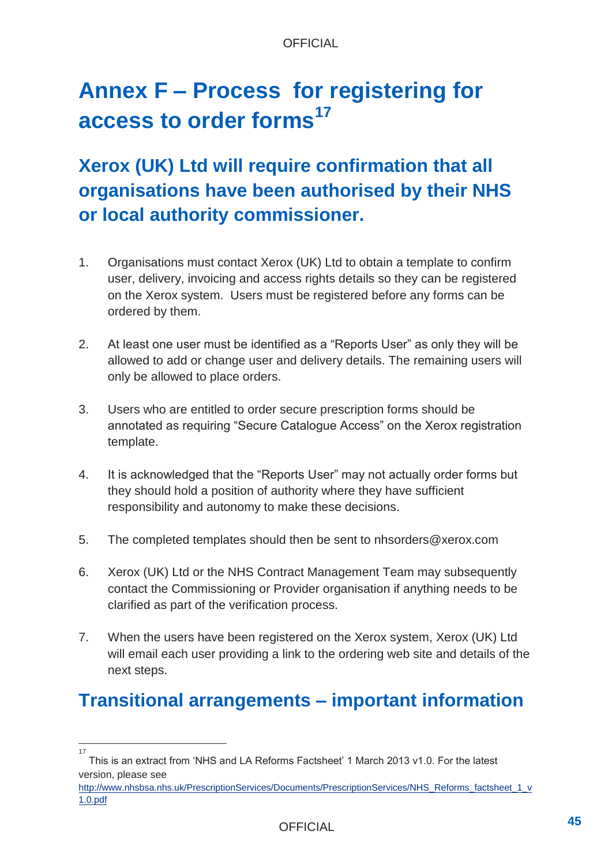# **Annex F – Process for registering for access to order forms<sup>17</sup>**

## **Xerox (UK) Ltd will require confirmation that all organisations have been authorised by their NHS or local authority commissioner.**

- 1. Organisations must contact Xerox (UK) Ltd to obtain a template to confirm user, delivery, invoicing and access rights details so they can be registered on the Xerox system. Users must be registered before any forms can be ordered by them.
- 2. At least one user must be identified as a "Reports User" as only they will be allowed to add or change user and delivery details. The remaining users will only be allowed to place orders.
- 3. Users who are entitled to order secure prescription forms should be annotated as requiring "Secure Catalogue Access" on the Xerox registration template.
- 4. It is acknowledged that the "Reports User" may not actually order forms but they should hold a position of authority where they have sufficient responsibility and autonomy to make these decisions.
- 5. The completed templates should then be sent to nhsorders@xerox.com
- 6. Xerox (UK) Ltd or the NHS Contract Management Team may subsequently contact the Commissioning or Provider organisation if anything needs to be clarified as part of the verification process.
- 7. When the users have been registered on the Xerox system, Xerox (UK) Ltd will email each user providing a link to the ordering web site and details of the next steps.

## **Transitional arrangements – important information**

<sup>17</sup>

This is an extract from 'NHS and LA Reforms Factsheet' 1 March 2013 v1.0. For the latest version, please see

[http://www.nhsbsa.nhs.uk/PrescriptionServices/Documents/PrescriptionServices/NHS\\_Reforms\\_factsheet\\_1\\_v](http://www.nhsbsa.nhs.uk/PrescriptionServices/Documents/PrescriptionServices/NHS_Reforms_factsheet_1_v1.0.pdf) [1.0.pdf](http://www.nhsbsa.nhs.uk/PrescriptionServices/Documents/PrescriptionServices/NHS_Reforms_factsheet_1_v1.0.pdf)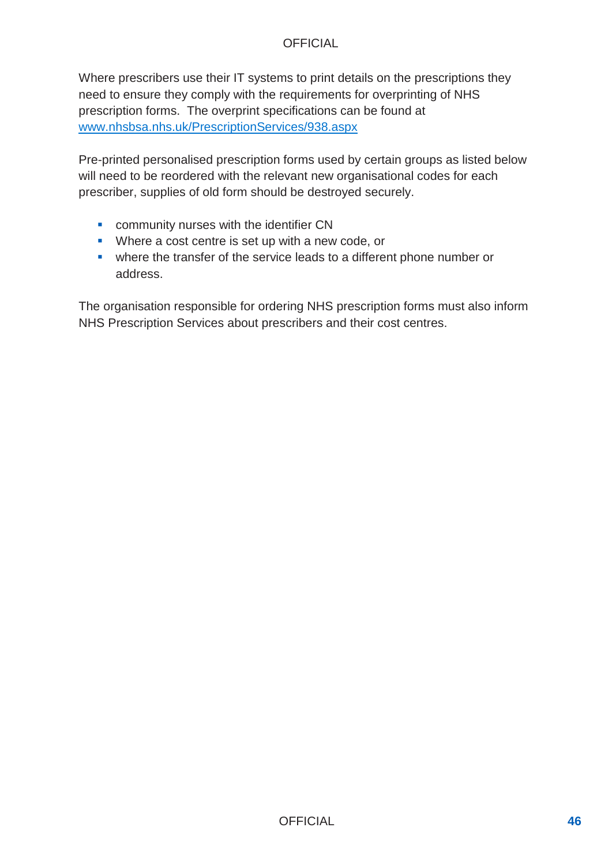Where prescribers use their IT systems to print details on the prescriptions they need to ensure they comply with the requirements for overprinting of NHS prescription forms. The overprint specifications can be found at [www.nhsbsa.nhs.uk/PrescriptionServices/938.aspx](http://www.nhsbsa.nhs.uk/PrescriptionServices/938.aspx)

Pre-printed personalised prescription forms used by certain groups as listed below will need to be reordered with the relevant new organisational codes for each prescriber, supplies of old form should be destroyed securely.

- **EXECOMMUNITY NURSES With the identifier CN**
- **Where a cost centre is set up with a new code, or**
- where the transfer of the service leads to a different phone number or address.

The organisation responsible for ordering NHS prescription forms must also inform NHS Prescription Services about prescribers and their cost centres.